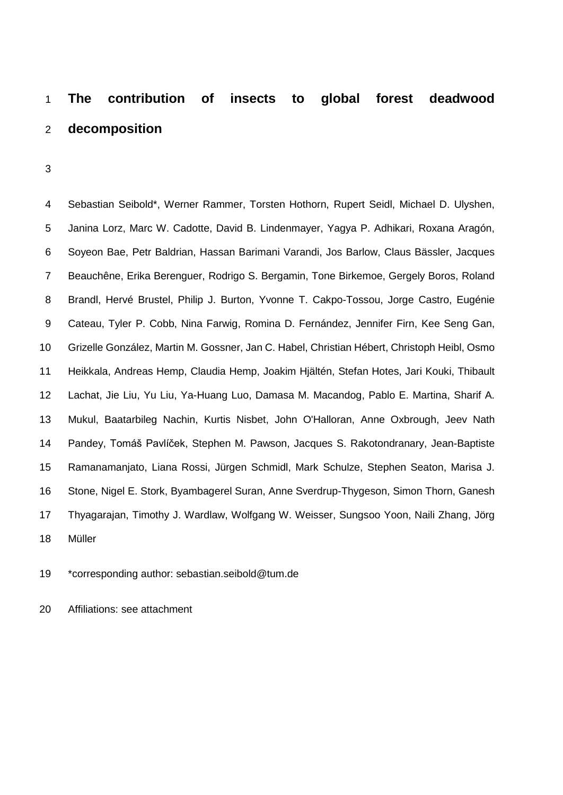# **The contribution of insects to global forest deadwood decomposition**

 Sebastian Seibold\*, Werner Rammer, Torsten Hothorn, Rupert Seidl, Michael D. Ulyshen, Janina Lorz, Marc W. Cadotte, David B. Lindenmayer, Yagya P. Adhikari, Roxana Aragón, Soyeon Bae, Petr Baldrian, Hassan Barimani Varandi, Jos Barlow, Claus Bässler, Jacques Beauchêne, Erika Berenguer, Rodrigo S. Bergamin, Tone Birkemoe, Gergely Boros, Roland Brandl, Hervé Brustel, Philip J. Burton, Yvonne T. Cakpo-Tossou, Jorge Castro, Eugénie Cateau, Tyler P. Cobb, Nina Farwig, Romina D. Fernández, Jennifer Firn, Kee Seng Gan, Grizelle González, Martin M. Gossner, Jan C. Habel, Christian Hébert, Christoph Heibl, Osmo Heikkala, Andreas Hemp, Claudia Hemp, Joakim Hjältén, Stefan Hotes, Jari Kouki, Thibault Lachat, Jie Liu, Yu Liu, Ya-Huang Luo, Damasa M. Macandog, Pablo E. Martina, Sharif A. Mukul, Baatarbileg Nachin, Kurtis Nisbet, John O'Halloran, Anne Oxbrough, Jeev Nath Pandey, Tomáš Pavlíček, Stephen M. Pawson, Jacques S. Rakotondranary, Jean-Baptiste Ramanamanjato, Liana Rossi, Jürgen Schmidl, Mark Schulze, Stephen Seaton, Marisa J. Stone, Nigel E. Stork, Byambagerel Suran, Anne Sverdrup-Thygeson, Simon Thorn, Ganesh Thyagarajan, Timothy J. Wardlaw, Wolfgang W. Weisser, Sungsoo Yoon, Naili Zhang, Jörg Müller

\*corresponding author: sebastian.seibold@tum.de

Affiliations: see attachment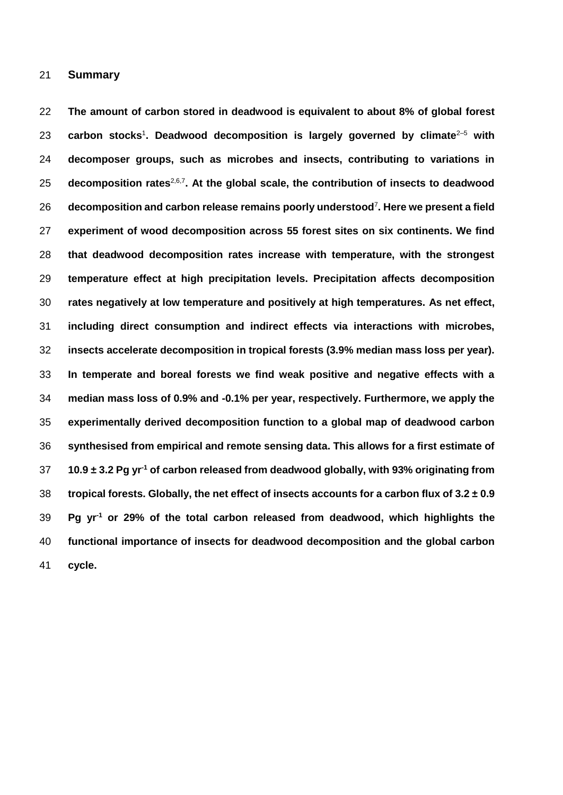#### **Summary**

 **The amount of carbon stored in deadwood is equivalent to about 8% of global forest**  23 carbon stocks<sup>1</sup>. Deadwood decomposition is largely governed by climate<sup>2–5</sup> with **decomposer groups, such as microbes and insects, contributing to variations in decomposition rates<sup>2,6,7</sup>. At the global scale, the contribution of insects to deadwood decomposition and carbon release remains poorly understood**<sup>7</sup> **. Here we present a field experiment of wood decomposition across 55 forest sites on six continents. We find that deadwood decomposition rates increase with temperature, with the strongest temperature effect at high precipitation levels. Precipitation affects decomposition rates negatively at low temperature and positively at high temperatures. As net effect, including direct consumption and indirect effects via interactions with microbes, insects accelerate decomposition in tropical forests (3.9% median mass loss per year). In temperate and boreal forests we find weak positive and negative effects with a median mass loss of 0.9% and -0.1% per year, respectively. Furthermore, we apply the experimentally derived decomposition function to a global map of deadwood carbon synthesised from empirical and remote sensing data. This allows for a first estimate of 10.9 ± 3.2 Pg yr-1 of carbon released from deadwood globally, with 93% originating from tropical forests. Globally, the net effect of insects accounts for a carbon flux of 3.2 ± 0.9 Pg yr-1 or 29% of the total carbon released from deadwood, which highlights the functional importance of insects for deadwood decomposition and the global carbon cycle.**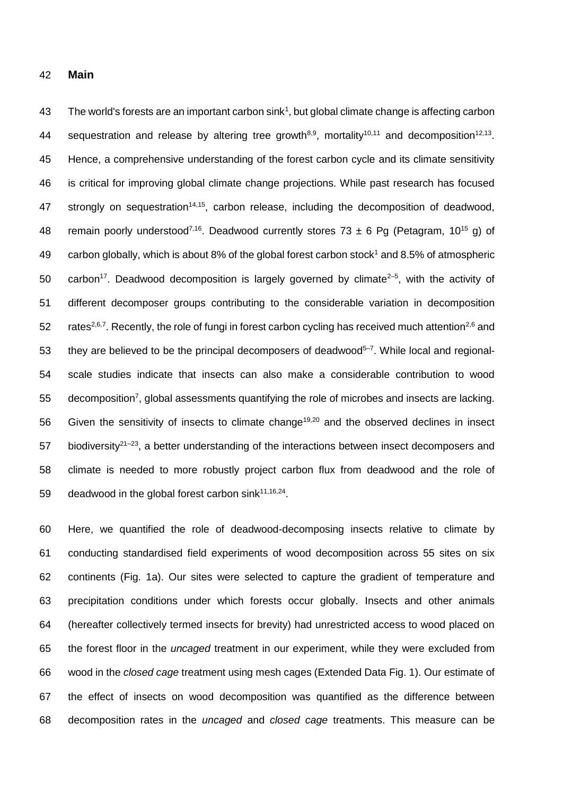#### 42 **Main**

43 The world's forests are an important carbon sink<sup>1</sup>, but global climate change is affecting carbon 44 sequestration and release by altering tree growth<sup>8,9</sup>, mortality<sup>10,11</sup> and decomposition<sup>12,13</sup>. 45 Hence, a comprehensive understanding of the forest carbon cycle and its climate sensitivity 46 is critical for improving global climate change projections. While past research has focused 47 strongly on sequestration<sup>14,15</sup>, carbon release, including the decomposition of deadwood, 48 remain poorly understood<sup>7,16</sup>. Deadwood currently stores 73  $\pm$  6 Pg (Petagram, 10<sup>15</sup> g) of 49 carbon globally, which is about 8% of the global forest carbon stock<sup>1</sup> and 8.5% of atmospheric 50 carbon<sup>17</sup>. Deadwood decomposition is largely governed by climate<sup>2–5</sup>, with the activity of 51 different decomposer groups contributing to the considerable variation in decomposition 52 rates<sup>2,6,7</sup>. Recently, the role of fungi in forest carbon cycling has received much attention<sup>2,6</sup> and 53 they are believed to be the principal decomposers of deadwood<sup>5-7</sup>. While local and regional-54 scale studies indicate that insects can also make a considerable contribution to wood 55 decomposition<sup>7</sup>, global assessments quantifying the role of microbes and insects are lacking. 56 Given the sensitivity of insects to climate change<sup>19,20</sup> and the observed declines in insect 57 biodiversity<sup>21–23</sup>, a better understanding of the interactions between insect decomposers and 58 climate is needed to more robustly project carbon flux from deadwood and the role of 59 deadwood in the global forest carbon sink $11,16,24$ .

 Here, we quantified the role of deadwood-decomposing insects relative to climate by conducting standardised field experiments of wood decomposition across 55 sites on six continents (Fig. 1a). Our sites were selected to capture the gradient of temperature and precipitation conditions under which forests occur globally. Insects and other animals (hereafter collectively termed insects for brevity) had unrestricted access to wood placed on the forest floor in the *uncaged* treatment in our experiment, while they were excluded from wood in the *closed cage* treatment using mesh cages (Extended Data Fig. 1). Our estimate of the effect of insects on wood decomposition was quantified as the difference between decomposition rates in the *uncaged* and *closed cage* treatments. This measure can be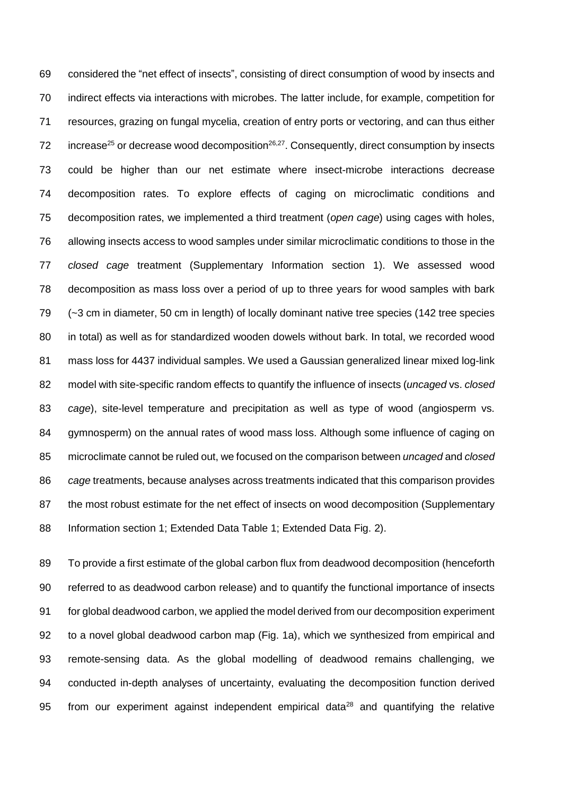considered the "net effect of insects", consisting of direct consumption of wood by insects and indirect effects via interactions with microbes. The latter include, for example, competition for resources, grazing on fungal mycelia, creation of entry ports or vectoring, and can thus either 72 increase<sup>25</sup> or decrease wood decomposition<sup>26,27</sup>. Consequently, direct consumption by insects could be higher than our net estimate where insect-microbe interactions decrease decomposition rates. To explore effects of caging on microclimatic conditions and decomposition rates, we implemented a third treatment (*open cage*) using cages with holes, allowing insects access to wood samples under similar microclimatic conditions to those in the *closed cage* treatment (Supplementary Information section 1). We assessed wood decomposition as mass loss over a period of up to three years for wood samples with bark (~3 cm in diameter, 50 cm in length) of locally dominant native tree species (142 tree species in total) as well as for standardized wooden dowels without bark. In total, we recorded wood mass loss for 4437 individual samples. We used a Gaussian generalized linear mixed log-link model with site-specific random effects to quantify the influence of insects (*uncaged* vs. *closed cage*), site-level temperature and precipitation as well as type of wood (angiosperm vs. gymnosperm) on the annual rates of wood mass loss. Although some influence of caging on microclimate cannot be ruled out, we focused on the comparison between *uncaged* and *closed cage* treatments, because analyses across treatments indicated that this comparison provides 87 the most robust estimate for the net effect of insects on wood decomposition (Supplementary Information section 1; Extended Data Table 1; Extended Data Fig. 2).

 To provide a first estimate of the global carbon flux from deadwood decomposition (henceforth referred to as deadwood carbon release) and to quantify the functional importance of insects for global deadwood carbon, we applied the model derived from our decomposition experiment to a novel global deadwood carbon map (Fig. 1a), which we synthesized from empirical and remote-sensing data. As the global modelling of deadwood remains challenging, we conducted in-depth analyses of uncertainty, evaluating the decomposition function derived 95 from our experiment against independent empirical data and quantifying the relative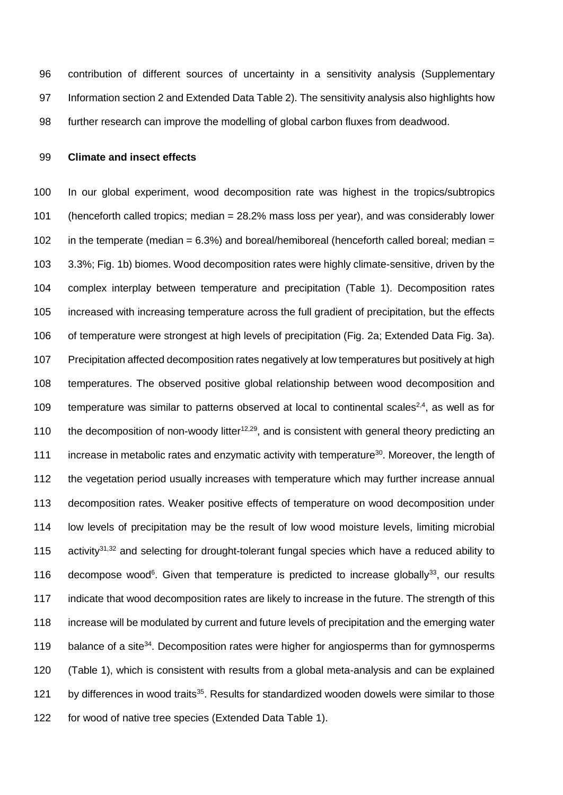contribution of different sources of uncertainty in a sensitivity analysis (Supplementary Information section 2 and Extended Data Table 2). The sensitivity analysis also highlights how further research can improve the modelling of global carbon fluxes from deadwood.

#### **Climate and insect effects**

 In our global experiment, wood decomposition rate was highest in the tropics/subtropics (henceforth called tropics; median = 28.2% mass loss per year), and was considerably lower 102 in the temperate (median =  $6.3\%$ ) and boreal/hemiboreal (henceforth called boreal; median = 3.3%; Fig. 1b) biomes. Wood decomposition rates were highly climate-sensitive, driven by the complex interplay between temperature and precipitation (Table 1). Decomposition rates increased with increasing temperature across the full gradient of precipitation, but the effects of temperature were strongest at high levels of precipitation (Fig. 2a; Extended Data Fig. 3a). Precipitation affected decomposition rates negatively at low temperatures but positively at high temperatures. The observed positive global relationship between wood decomposition and 109 temperature was similar to patterns observed at local to continental scales<sup>2,4</sup>, as well as for 110 the decomposition of non-woody litter<sup>12,29</sup>, and is consistent with general theory predicting an 111 increase in metabolic rates and enzymatic activity with temperature<sup>30</sup>. Moreover, the length of 112 the vegetation period usually increases with temperature which may further increase annual decomposition rates. Weaker positive effects of temperature on wood decomposition under low levels of precipitation may be the result of low wood moisture levels, limiting microbial 115 activity<sup>31,32</sup> and selecting for drought-tolerant fungal species which have a reduced ability to 116 decompose wood<sup>6</sup>. Given that temperature is predicted to increase globally<sup>33</sup>, our results indicate that wood decomposition rates are likely to increase in the future. The strength of this increase will be modulated by current and future levels of precipitation and the emerging water 119 balance of a site<sup>34</sup>. Decomposition rates were higher for angiosperms than for gymnosperms (Table 1), which is consistent with results from a global meta-analysis and can be explained 121 by differences in wood traits<sup>35</sup>. Results for standardized wooden dowels were similar to those for wood of native tree species (Extended Data Table 1).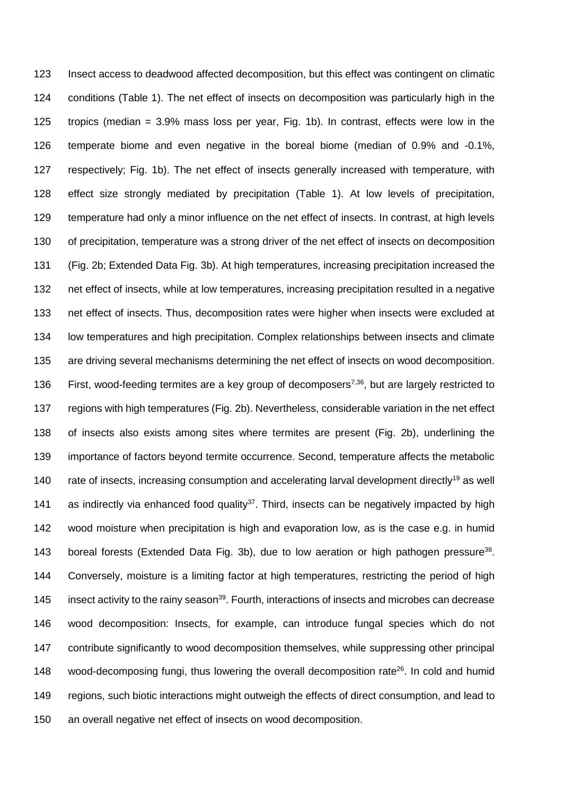Insect access to deadwood affected decomposition, but this effect was contingent on climatic conditions (Table 1). The net effect of insects on decomposition was particularly high in the tropics (median = 3.9% mass loss per year, Fig. 1b). In contrast, effects were low in the temperate biome and even negative in the boreal biome (median of 0.9% and -0.1%, respectively; Fig. 1b). The net effect of insects generally increased with temperature, with effect size strongly mediated by precipitation (Table 1). At low levels of precipitation, temperature had only a minor influence on the net effect of insects. In contrast, at high levels of precipitation, temperature was a strong driver of the net effect of insects on decomposition (Fig. 2b; Extended Data Fig. 3b). At high temperatures, increasing precipitation increased the net effect of insects, while at low temperatures, increasing precipitation resulted in a negative net effect of insects. Thus, decomposition rates were higher when insects were excluded at low temperatures and high precipitation. Complex relationships between insects and climate are driving several mechanisms determining the net effect of insects on wood decomposition. 136 First, wood-feeding termites are a key group of decomposers<sup>7,36</sup>, but are largely restricted to regions with high temperatures (Fig. 2b). Nevertheless, considerable variation in the net effect of insects also exists among sites where termites are present (Fig. 2b), underlining the importance of factors beyond termite occurrence. Second, temperature affects the metabolic 140 rate of insects, increasing consumption and accelerating larval development directly<sup>19</sup> as well 141 as indirectly via enhanced food quality<sup>37</sup>. Third, insects can be negatively impacted by high wood moisture when precipitation is high and evaporation low, as is the case e.g. in humid 143 boreal forests (Extended Data Fig. 3b), due to low aeration or high pathogen pressure<sup>38</sup>. Conversely, moisture is a limiting factor at high temperatures, restricting the period of high 145 insect activity to the rainy season<sup>39</sup>. Fourth, interactions of insects and microbes can decrease wood decomposition: Insects, for example, can introduce fungal species which do not contribute significantly to wood decomposition themselves, while suppressing other principal 148 wood-decomposing fungi, thus lowering the overall decomposition rate<sup>26</sup>. In cold and humid regions, such biotic interactions might outweigh the effects of direct consumption, and lead to an overall negative net effect of insects on wood decomposition.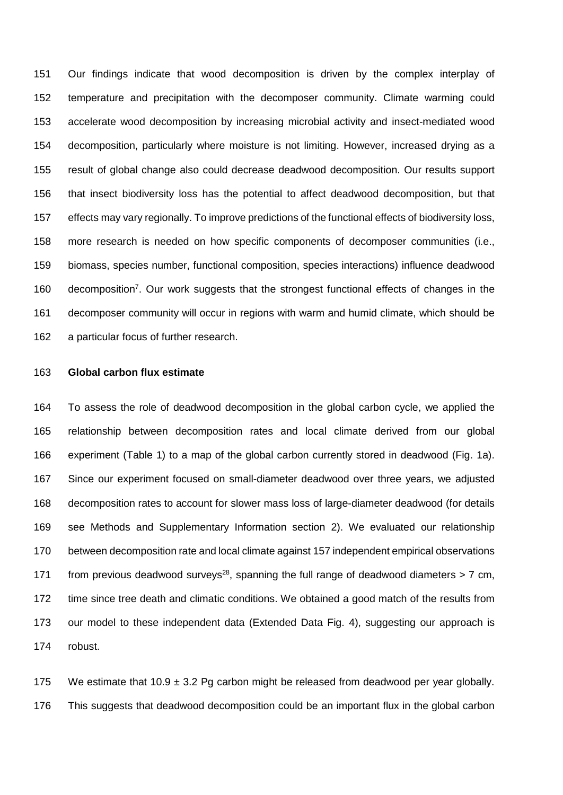Our findings indicate that wood decomposition is driven by the complex interplay of temperature and precipitation with the decomposer community. Climate warming could accelerate wood decomposition by increasing microbial activity and insect-mediated wood decomposition, particularly where moisture is not limiting. However, increased drying as a result of global change also could decrease deadwood decomposition. Our results support that insect biodiversity loss has the potential to affect deadwood decomposition, but that effects may vary regionally. To improve predictions of the functional effects of biodiversity loss, more research is needed on how specific components of decomposer communities (i.e., biomass, species number, functional composition, species interactions) influence deadwood 160 decomposition<sup>7</sup>. Our work suggests that the strongest functional effects of changes in the decomposer community will occur in regions with warm and humid climate, which should be a particular focus of further research.

## **Global carbon flux estimate**

 To assess the role of deadwood decomposition in the global carbon cycle, we applied the relationship between decomposition rates and local climate derived from our global experiment (Table 1) to a map of the global carbon currently stored in deadwood (Fig. 1a). Since our experiment focused on small-diameter deadwood over three years, we adjusted decomposition rates to account for slower mass loss of large-diameter deadwood (for details see Methods and Supplementary Information section 2). We evaluated our relationship between decomposition rate and local climate against 157 independent empirical observations 171 from previous deadwood surveys<sup>28</sup>, spanning the full range of deadwood diameters  $> 7$  cm, time since tree death and climatic conditions. We obtained a good match of the results from our model to these independent data (Extended Data Fig. 4), suggesting our approach is robust.

175 We estimate that  $10.9 \pm 3.2$  Pg carbon might be released from deadwood per year globally. This suggests that deadwood decomposition could be an important flux in the global carbon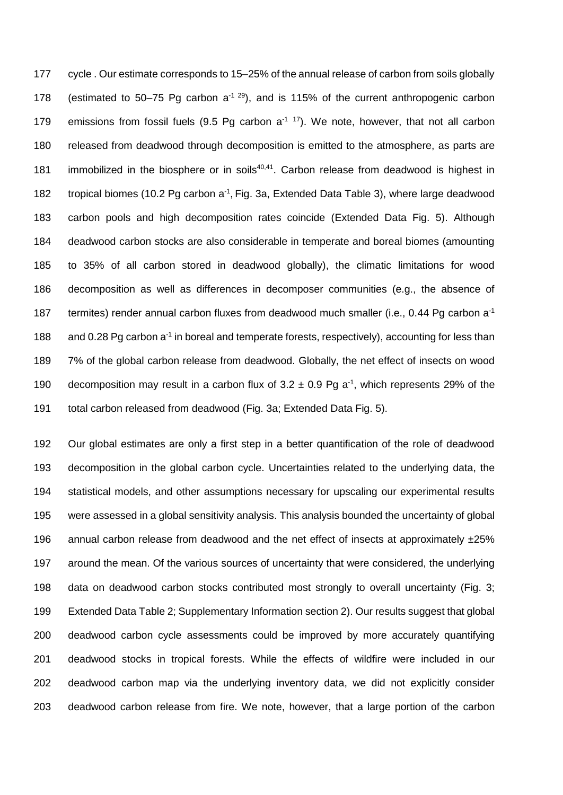cycle . Our estimate corresponds to 15–25% of the annual release of carbon from soils globally 178 (estimated to 50–75 Pg carbon  $a^{-1}$ <sup>29</sup>), and is 115% of the current anthropogenic carbon 179 emissions from fossil fuels (9.5 Pg carbon  $a^{-1}$  <sup>17</sup>). We note, however, that not all carbon released from deadwood through decomposition is emitted to the atmosphere, as parts are 181 immobilized in the biosphere or in soils $40,41$ . Carbon release from deadwood is highest in 182 tropical biomes (10.2 Pg carbon a<sup>-1</sup>, Fig. 3a, Extended Data Table 3), where large deadwood carbon pools and high decomposition rates coincide (Extended Data Fig. 5). Although deadwood carbon stocks are also considerable in temperate and boreal biomes (amounting to 35% of all carbon stored in deadwood globally), the climatic limitations for wood decomposition as well as differences in decomposer communities (e.g., the absence of 187 termites) render annual carbon fluxes from deadwood much smaller (i.e., 0.44 Pg carbon a<sup>-1</sup> 188 and 0.28 Pg carbon a<sup>-1</sup> in boreal and temperate forests, respectively), accounting for less than 7% of the global carbon release from deadwood. Globally, the net effect of insects on wood 190 decomposition may result in a carbon flux of  $3.2 \pm 0.9$  Pg a<sup>-1</sup>, which represents 29% of the total carbon released from deadwood (Fig. 3a; Extended Data Fig. 5).

 Our global estimates are only a first step in a better quantification of the role of deadwood decomposition in the global carbon cycle. Uncertainties related to the underlying data, the statistical models, and other assumptions necessary for upscaling our experimental results were assessed in a global sensitivity analysis. This analysis bounded the uncertainty of global 196 annual carbon release from deadwood and the net effect of insects at approximately  $\pm 25\%$  around the mean. Of the various sources of uncertainty that were considered, the underlying data on deadwood carbon stocks contributed most strongly to overall uncertainty (Fig. 3; Extended Data Table 2; Supplementary Information section 2). Our results suggest that global deadwood carbon cycle assessments could be improved by more accurately quantifying deadwood stocks in tropical forests. While the effects of wildfire were included in our deadwood carbon map via the underlying inventory data, we did not explicitly consider deadwood carbon release from fire. We note, however, that a large portion of the carbon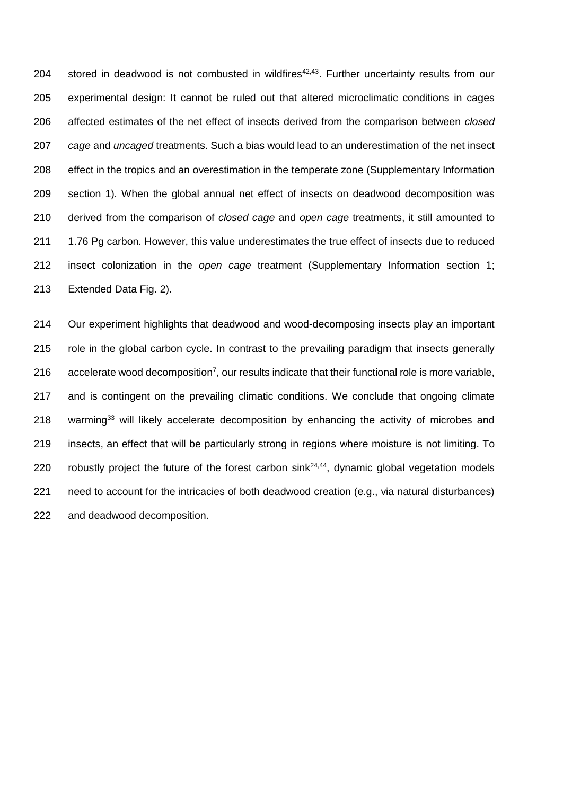204 stored in deadwood is not combusted in wildfires $42,43$ . Further uncertainty results from our experimental design: It cannot be ruled out that altered microclimatic conditions in cages affected estimates of the net effect of insects derived from the comparison between *closed cage* and *uncaged* treatments. Such a bias would lead to an underestimation of the net insect effect in the tropics and an overestimation in the temperate zone (Supplementary Information section 1)*.* When the global annual net effect of insects on deadwood decomposition was derived from the comparison of *closed cage* and *open cage* treatments, it still amounted to 1.76 Pg carbon. However, this value underestimates the true effect of insects due to reduced insect colonization in the *open cage* treatment (Supplementary Information section 1; Extended Data Fig. 2).

 Our experiment highlights that deadwood and wood-decomposing insects play an important role in the global carbon cycle. In contrast to the prevailing paradigm that insects generally 216 accelerate wood decomposition<sup>7</sup>, our results indicate that their functional role is more variable, 217 and is contingent on the prevailing climatic conditions. We conclude that ongoing climate warming<sup>33</sup> will likely accelerate decomposition by enhancing the activity of microbes and insects, an effect that will be particularly strong in regions where moisture is not limiting. To 220 robustly project the future of the forest carbon sink $24,44$ , dynamic global vegetation models need to account for the intricacies of both deadwood creation (e.g., via natural disturbances) and deadwood decomposition.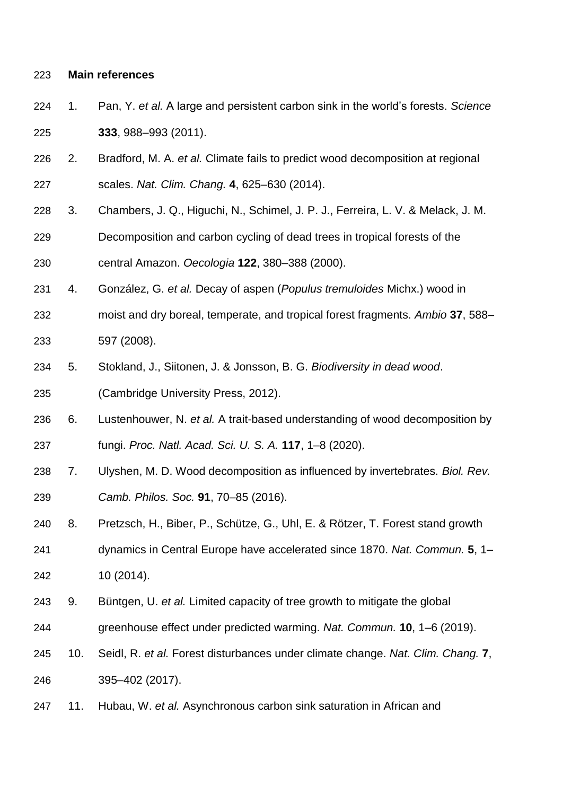## **Main references**

- 1. Pan, Y. *et al.* A large and persistent carbon sink in the world's forests. *Science* **333**, 988–993 (2011).
- 2. Bradford, M. A. *et al.* Climate fails to predict wood decomposition at regional scales. *Nat. Clim. Chang.* **4**, 625–630 (2014).
- 3. Chambers, J. Q., Higuchi, N., Schimel, J. P. J., Ferreira, L. V. & Melack, J. M.
- Decomposition and carbon cycling of dead trees in tropical forests of the central Amazon. *Oecologia* **122**, 380–388 (2000).
- 4. González, G. *et al.* Decay of aspen (*Populus tremuloides* Michx.) wood in
- moist and dry boreal, temperate, and tropical forest fragments. *Ambio* **37**, 588– 597 (2008).
- 5. Stokland, J., Siitonen, J. & Jonsson, B. G. *Biodiversity in dead wood*. (Cambridge University Press, 2012).
- 6. Lustenhouwer, N. *et al.* A trait-based understanding of wood decomposition by fungi. *Proc. Natl. Acad. Sci. U. S. A.* **117**, 1–8 (2020).
- 7. Ulyshen, M. D. Wood decomposition as influenced by invertebrates. *Biol. Rev. Camb. Philos. Soc.* **91**, 70–85 (2016).
- 8. Pretzsch, H., Biber, P., Schütze, G., Uhl, E. & Rötzer, T. Forest stand growth
- dynamics in Central Europe have accelerated since 1870. *Nat. Commun.* **5**, 1– 10 (2014).
- 9. Büntgen, U. *et al.* Limited capacity of tree growth to mitigate the global
- greenhouse effect under predicted warming. *Nat. Commun.* **10**, 1–6 (2019).
- 10. Seidl, R. *et al.* Forest disturbances under climate change. *Nat. Clim. Chang.* **7**, 395–402 (2017).
- 11. Hubau, W. *et al.* Asynchronous carbon sink saturation in African and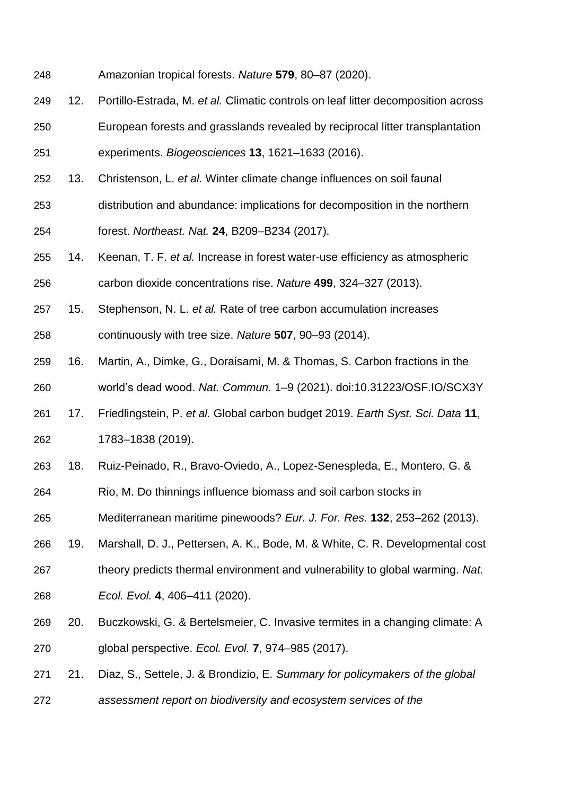- Amazonian tropical forests. *Nature* **579**, 80–87 (2020).
- 12. Portillo-Estrada, M. *et al.* Climatic controls on leaf litter decomposition across European forests and grasslands revealed by reciprocal litter transplantation
- experiments. *Biogeosciences* **13**, 1621–1633 (2016).
- 13. Christenson, L. *et al.* Winter climate change influences on soil faunal
- distribution and abundance: implications for decomposition in the northern
- forest. *Northeast. Nat.* **24**, B209–B234 (2017).
- 14. Keenan, T. F. *et al.* Increase in forest water-use efficiency as atmospheric
- carbon dioxide concentrations rise. *Nature* **499**, 324–327 (2013).
- 15. Stephenson, N. L. *et al.* Rate of tree carbon accumulation increases
- continuously with tree size. *Nature* **507**, 90–93 (2014).
- 16. Martin, A., Dimke, G., Doraisami, M. & Thomas, S. Carbon fractions in the world's dead wood. *Nat. Commun.* 1–9 (2021). doi:10.31223/OSF.IO/SCX3Y
- 17. Friedlingstein, P. *et al.* Global carbon budget 2019. *Earth Syst. Sci. Data* **11**, 1783–1838 (2019).
- 18. Ruiz-Peinado, R., Bravo-Oviedo, A., Lopez-Senespleda, E., Montero, G. &
- Rio, M. Do thinnings influence biomass and soil carbon stocks in
- Mediterranean maritime pinewoods? *Eur. J. For. Res.* **132**, 253–262 (2013).
- 19. Marshall, D. J., Pettersen, A. K., Bode, M. & White, C. R. Developmental cost
- theory predicts thermal environment and vulnerability to global warming. *Nat.*
- *Ecol. Evol.* **4**, 406–411 (2020).
- 20. Buczkowski, G. & Bertelsmeier, C. Invasive termites in a changing climate: A global perspective. *Ecol. Evol.* **7**, 974–985 (2017).
- 21. Diaz, S., Settele, J. & Brondizio, E. *Summary for policymakers of the global*
- *assessment report on biodiversity and ecosystem services of the*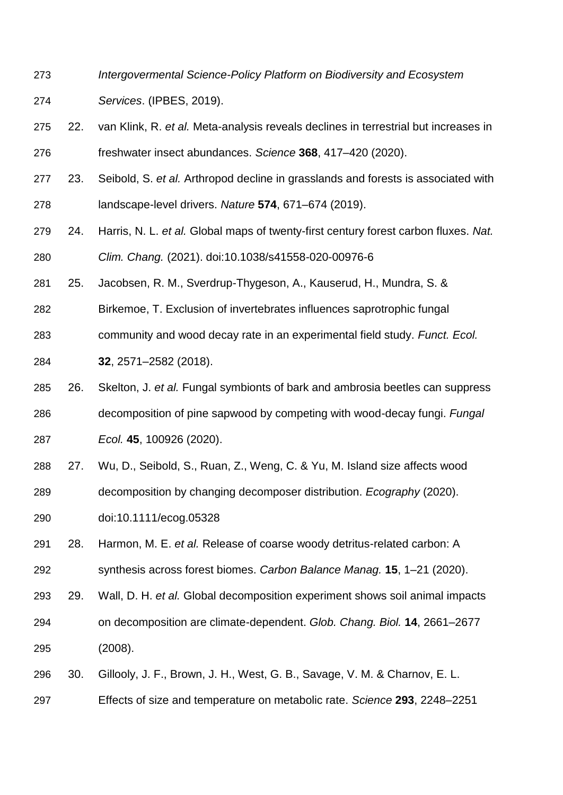- *Intergovermental Science-Policy Platform on Biodiversity and Ecosystem Services*. (IPBES, 2019).
- 22. van Klink, R. *et al.* Meta-analysis reveals declines in terrestrial but increases in freshwater insect abundances. *Science* **368**, 417–420 (2020).
- 23. Seibold, S. *et al.* Arthropod decline in grasslands and forests is associated with landscape-level drivers. *Nature* **574**, 671–674 (2019).
- 24. Harris, N. L. *et al.* Global maps of twenty-first century forest carbon fluxes. *Nat. Clim. Chang.* (2021). doi:10.1038/s41558-020-00976-6
- 25. Jacobsen, R. M., Sverdrup-Thygeson, A., Kauserud, H., Mundra, S. &
- Birkemoe, T. Exclusion of invertebrates influences saprotrophic fungal
- community and wood decay rate in an experimental field study. *Funct. Ecol.*
- **32**, 2571–2582 (2018).
- 26. Skelton, J. *et al.* Fungal symbionts of bark and ambrosia beetles can suppress
- decomposition of pine sapwood by competing with wood-decay fungi. *Fungal Ecol.* **45**, 100926 (2020).
- 27. Wu, D., Seibold, S., Ruan, Z., Weng, C. & Yu, M. Island size affects wood
- decomposition by changing decomposer distribution. *Ecography* (2020).
- doi:10.1111/ecog.05328
- 28. Harmon, M. E. *et al.* Release of coarse woody detritus-related carbon: A
- synthesis across forest biomes. *Carbon Balance Manag.* **15**, 1–21 (2020).
- 29. Wall, D. H. *et al.* Global decomposition experiment shows soil animal impacts
- on decomposition are climate-dependent. *Glob. Chang. Biol.* **14**, 2661–2677 (2008).
- 30. Gillooly, J. F., Brown, J. H., West, G. B., Savage, V. M. & Charnov, E. L.
- Effects of size and temperature on metabolic rate. *Science* **293**, 2248–2251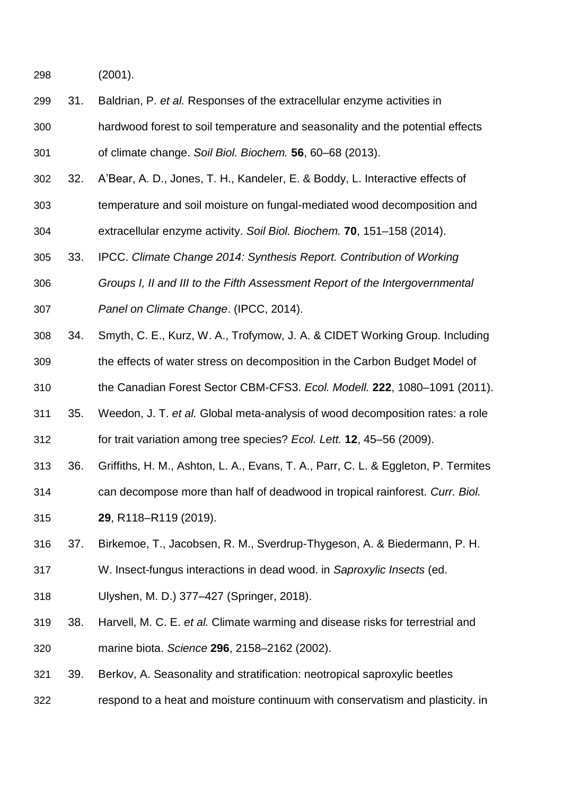(2001).

- 31. Baldrian, P. *et al.* Responses of the extracellular enzyme activities in hardwood forest to soil temperature and seasonality and the potential effects of climate change. *Soil Biol. Biochem.* **56**, 60–68 (2013).
- 32. A'Bear, A. D., Jones, T. H., Kandeler, E. & Boddy, L. Interactive effects of temperature and soil moisture on fungal-mediated wood decomposition and
- extracellular enzyme activity. *Soil Biol. Biochem.* **70**, 151–158 (2014).
- 33. IPCC. *Climate Change 2014: Synthesis Report. Contribution of Working*
- *Groups I, II and III to the Fifth Assessment Report of the Intergovernmental Panel on Climate Change*. (IPCC, 2014).
- 34. Smyth, C. E., Kurz, W. A., Trofymow, J. A. & CIDET Working Group. Including
- the effects of water stress on decomposition in the Carbon Budget Model of
- the Canadian Forest Sector CBM-CFS3. *Ecol. Modell.* **222**, 1080–1091 (2011).
- 35. Weedon, J. T. *et al.* Global meta-analysis of wood decomposition rates: a role for trait variation among tree species? *Ecol. Lett.* **12**, 45–56 (2009).
- 36. Griffiths, H. M., Ashton, L. A., Evans, T. A., Parr, C. L. & Eggleton, P. Termites
- can decompose more than half of deadwood in tropical rainforest. *Curr. Biol.*
- **29**, R118–R119 (2019).
- 37. Birkemoe, T., Jacobsen, R. M., Sverdrup-Thygeson, A. & Biedermann, P. H.
- W. Insect-fungus interactions in dead wood. in *Saproxylic Insects* (ed.
- Ulyshen, M. D.) 377–427 (Springer, 2018).
- 38. Harvell, M. C. E. *et al.* Climate warming and disease risks for terrestrial and marine biota. *Science* **296**, 2158–2162 (2002).
- 39. Berkov, A. Seasonality and stratification: neotropical saproxylic beetles
- respond to a heat and moisture continuum with conservatism and plasticity. in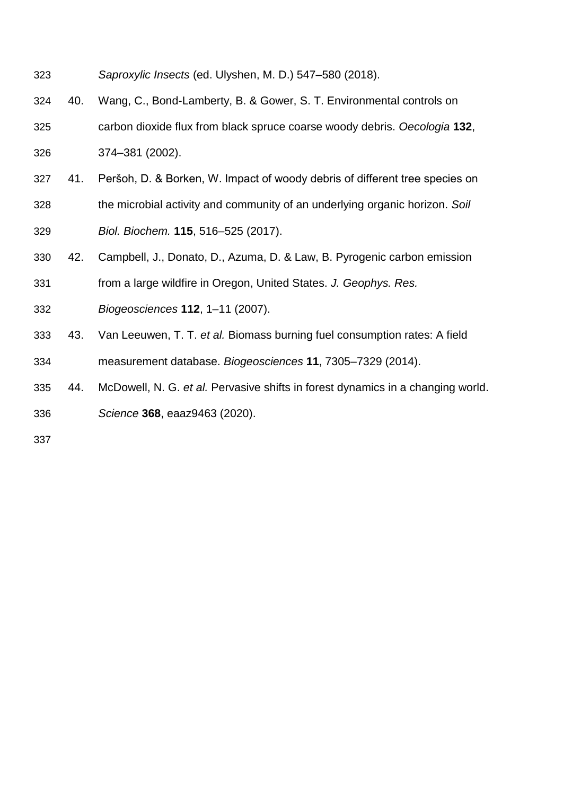- *Saproxylic Insects* (ed. Ulyshen, M. D.) 547–580 (2018).
- 40. Wang, C., Bond-Lamberty, B. & Gower, S. T. Environmental controls on carbon dioxide flux from black spruce coarse woody debris. *Oecologia* **132**, 374–381 (2002).
- 41. Peršoh, D. & Borken, W. Impact of woody debris of different tree species on the microbial activity and community of an underlying organic horizon. *Soil Biol. Biochem.* **115**, 516–525 (2017).
- 42. Campbell, J., Donato, D., Azuma, D. & Law, B. Pyrogenic carbon emission
- from a large wildfire in Oregon, United States. *J. Geophys. Res.*
- *Biogeosciences* **112**, 1–11 (2007).
- 43. Van Leeuwen, T. T. *et al.* Biomass burning fuel consumption rates: A field measurement database. *Biogeosciences* **11**, 7305–7329 (2014).
- 44. McDowell, N. G. *et al.* Pervasive shifts in forest dynamics in a changing world. *Science* **368**, eaaz9463 (2020).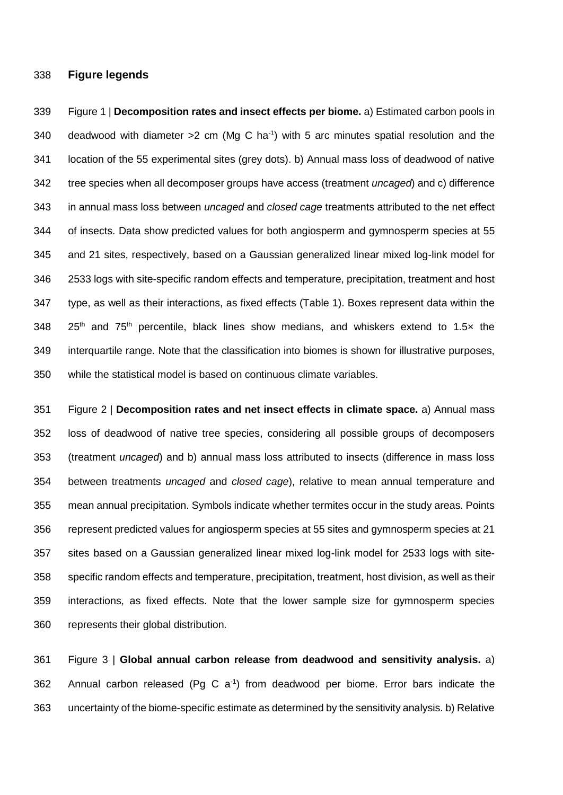## **Figure legends**

 Figure 1 | **Decomposition rates and insect effects per biome.** a) Estimated carbon pools in 340 deadwood with diameter  $>2$  cm (Mg C ha<sup>-1</sup>) with 5 arc minutes spatial resolution and the location of the 55 experimental sites (grey dots). b) Annual mass loss of deadwood of native tree species when all decomposer groups have access (treatment *uncaged*) and c) difference in annual mass loss between *uncaged* and *closed cage* treatments attributed to the net effect of insects. Data show predicted values for both angiosperm and gymnosperm species at 55 and 21 sites, respectively, based on a Gaussian generalized linear mixed log-link model for 2533 logs with site-specific random effects and temperature, precipitation, treatment and host type, as well as their interactions, as fixed effects (Table 1). Boxes represent data within the  $25<sup>th</sup>$  and  $75<sup>th</sup>$  percentile, black lines show medians, and whiskers extend to 1.5 $\times$  the interquartile range. Note that the classification into biomes is shown for illustrative purposes, while the statistical model is based on continuous climate variables.

 Figure 2 | **Decomposition rates and net insect effects in climate space.** a) Annual mass loss of deadwood of native tree species, considering all possible groups of decomposers (treatment *uncaged*) and b) annual mass loss attributed to insects (difference in mass loss between treatments *uncaged* and *closed cage*), relative to mean annual temperature and mean annual precipitation. Symbols indicate whether termites occur in the study areas. Points represent predicted values for angiosperm species at 55 sites and gymnosperm species at 21 sites based on a Gaussian generalized linear mixed log-link model for 2533 logs with site- specific random effects and temperature, precipitation, treatment, host division, as well as their interactions, as fixed effects. Note that the lower sample size for gymnosperm species represents their global distribution.

 Figure 3 | **Global annual carbon release from deadwood and sensitivity analysis.** a) 362 Annual carbon released (Pg C  $a^{-1}$ ) from deadwood per biome. Error bars indicate the uncertainty of the biome-specific estimate as determined by the sensitivity analysis. b) Relative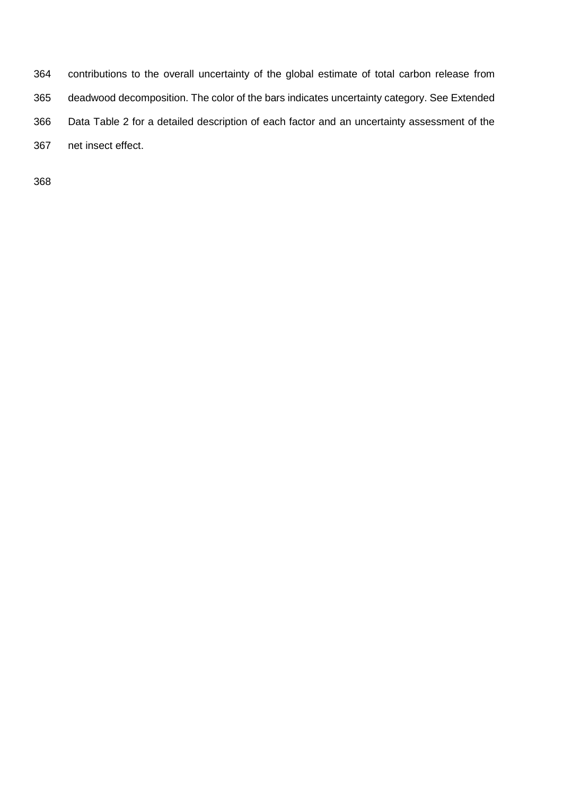contributions to the overall uncertainty of the global estimate of total carbon release from deadwood decomposition. The color of the bars indicates uncertainty category. See Extended Data Table 2 for a detailed description of each factor and an uncertainty assessment of the net insect effect.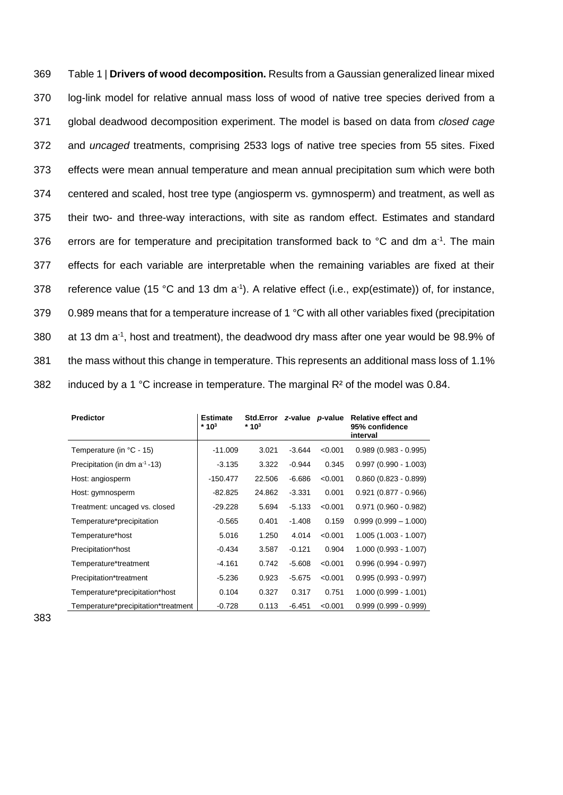369 Table 1 | **Drivers of wood decomposition.** Results from a Gaussian generalized linear mixed 370 log-link model for relative annual mass loss of wood of native tree species derived from a 371 global deadwood decomposition experiment. The model is based on data from *closed cage* 372 and *uncaged* treatments, comprising 2533 logs of native tree species from 55 sites. Fixed 373 effects were mean annual temperature and mean annual precipitation sum which were both 374 centered and scaled, host tree type (angiosperm vs. gymnosperm) and treatment, as well as 375 their two- and three-way interactions, with site as random effect. Estimates and standard 376 errors are for temperature and precipitation transformed back to  $\degree$ C and dm a<sup>-1</sup>. The main 377 effects for each variable are interpretable when the remaining variables are fixed at their 378 reference value (15 °C and 13 dm a<sup>-1</sup>). A relative effect (i.e., exp(estimate)) of, for instance, 379 0.989 means that for a temperature increase of 1  $^{\circ}$ C with all other variables fixed (precipitation 380 at 13 dm  $a^{-1}$ , host and treatment), the deadwood dry mass after one year would be 98.9% of 381 the mass without this change in temperature. This represents an additional mass loss of 1.1% 382 induced by a 1  $^{\circ}$ C increase in temperature. The marginal R<sup>2</sup> of the model was 0.84.

| <b>Predictor</b>                    | <b>Estimate</b><br>$*10^3$ | Std.Error z-value p-value<br>* 10 <sup>3</sup> |          |         | <b>Relative effect and</b><br>95% confidence<br>interval |
|-------------------------------------|----------------------------|------------------------------------------------|----------|---------|----------------------------------------------------------|
| Temperature (in °C - 15)            | $-11.009$                  | 3.021                                          | $-3.644$ | < 0.001 | $0.989(0.983 - 0.995)$                                   |
| Precipitation (in dm $a^{-1}$ -13)  | $-3.135$                   | 3.322                                          | $-0.944$ | 0.345   | $0.997(0.990 - 1.003)$                                   |
| Host: angiosperm                    | $-150.477$                 | 22.506                                         | $-6.686$ | < 0.001 | $0.860(0.823 - 0.899)$                                   |
| Host: gymnosperm                    | -82.825                    | 24.862                                         | $-3.331$ | 0.001   | $0.921(0.877 - 0.966)$                                   |
| Treatment: uncaged vs. closed       | -29.228                    | 5.694                                          | $-5.133$ | < 0.001 | $0.971(0.960 - 0.982)$                                   |
| Temperature*precipitation           | $-0.565$                   | 0.401                                          | $-1.408$ | 0.159   | $0.999(0.999 - 1.000)$                                   |
| Temperature*host                    | 5.016                      | 1.250                                          | 4.014    | < 0.001 | $1.005(1.003 - 1.007)$                                   |
| Precipitation*host                  | $-0.434$                   | 3.587                                          | $-0.121$ | 0.904   | $1.000(0.993 - 1.007)$                                   |
| Temperature*treatment               | $-4.161$                   | 0.742                                          | $-5.608$ | < 0.001 | $0.996(0.994 - 0.997)$                                   |
| Precipitation*treatment             | $-5.236$                   | 0.923                                          | $-5.675$ | < 0.001 | $0.995(0.993 - 0.997)$                                   |
| Temperature*precipitation*host      | 0.104                      | 0.327                                          | 0.317    | 0.751   | $1.000(0.999 - 1.001)$                                   |
| Temperature*precipitation*treatment | $-0.728$                   | 0.113                                          | $-6.451$ | < 0.001 | $0.999(0.999 - 0.999)$                                   |

383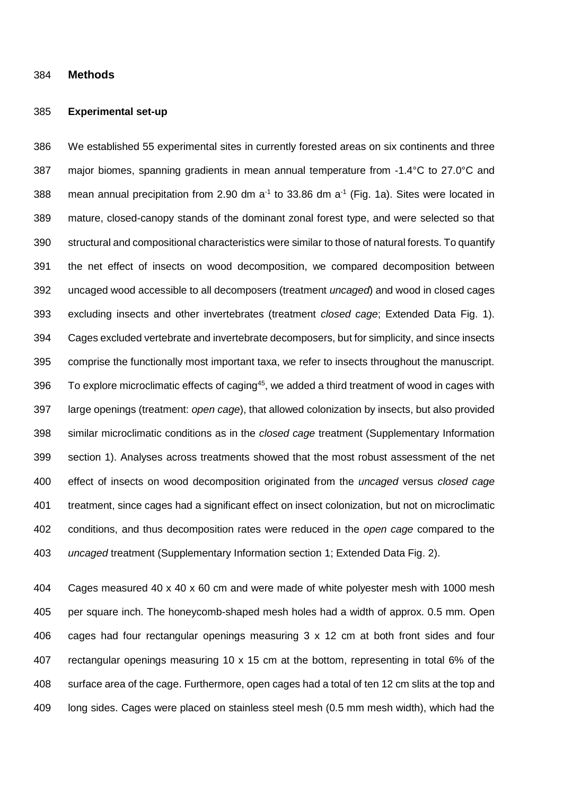#### **Methods**

#### **Experimental set-up**

 We established 55 experimental sites in currently forested areas on six continents and three major biomes, spanning gradients in mean annual temperature from -1.4°C to 27.0°C and 388 mean annual precipitation from 2.90 dm  $a^{-1}$  to 33.86 dm  $a^{-1}$  (Fig. 1a). Sites were located in mature, closed-canopy stands of the dominant zonal forest type, and were selected so that structural and compositional characteristics were similar to those of natural forests. To quantify the net effect of insects on wood decomposition, we compared decomposition between uncaged wood accessible to all decomposers (treatment *uncaged*) and wood in closed cages excluding insects and other invertebrates (treatment *closed cage*; Extended Data Fig. 1). Cages excluded vertebrate and invertebrate decomposers, but for simplicity, and since insects comprise the functionally most important taxa, we refer to insects throughout the manuscript. 396 To explore microclimatic effects of caging<sup>45</sup>, we added a third treatment of wood in cages with large openings (treatment: *open cage*), that allowed colonization by insects, but also provided similar microclimatic conditions as in the *closed cage* treatment (Supplementary Information section 1). Analyses across treatments showed that the most robust assessment of the net effect of insects on wood decomposition originated from the *uncaged* versus *closed cage* treatment, since cages had a significant effect on insect colonization, but not on microclimatic conditions, and thus decomposition rates were reduced in the *open cage* compared to the *uncaged* treatment (Supplementary Information section 1; Extended Data Fig. 2).

 Cages measured 40 x 40 x 60 cm and were made of white polyester mesh with 1000 mesh per square inch. The honeycomb-shaped mesh holes had a width of approx. 0.5 mm. Open cages had four rectangular openings measuring 3 x 12 cm at both front sides and four rectangular openings measuring 10 x 15 cm at the bottom, representing in total 6% of the surface area of the cage. Furthermore, open cages had a total of ten 12 cm slits at the top and long sides. Cages were placed on stainless steel mesh (0.5 mm mesh width), which had the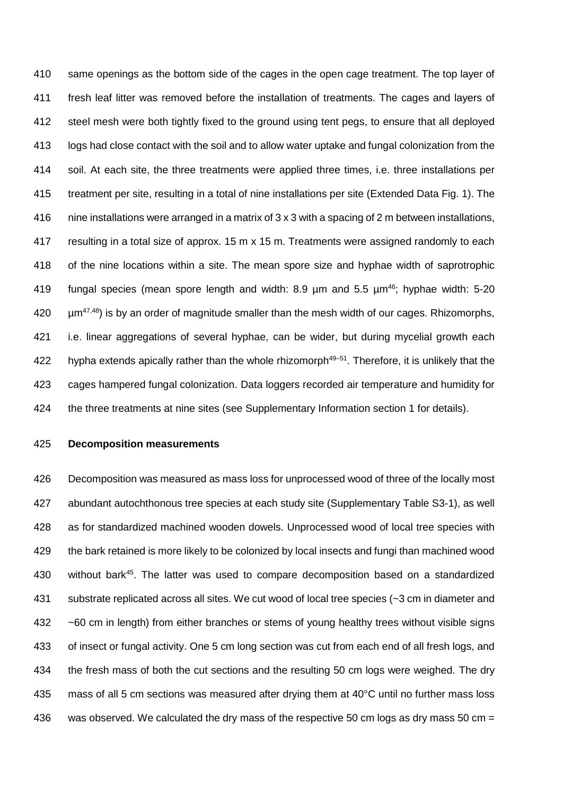same openings as the bottom side of the cages in the open cage treatment. The top layer of fresh leaf litter was removed before the installation of treatments. The cages and layers of steel mesh were both tightly fixed to the ground using tent pegs, to ensure that all deployed logs had close contact with the soil and to allow water uptake and fungal colonization from the soil. At each site, the three treatments were applied three times, i.e. three installations per treatment per site, resulting in a total of nine installations per site (Extended Data Fig. 1). The nine installations were arranged in a matrix of 3 x 3 with a spacing of 2 m between installations, resulting in a total size of approx. 15 m x 15 m. Treatments were assigned randomly to each of the nine locations within a site. The mean spore size and hyphae width of saprotrophic 419 fungal species (mean spore length and width:  $8.9 \mu m$  and  $5.5 \mu m^{46}$ ; hyphae width:  $5-20 \mu m^4$  $420 \mu m^{47,48}$  is by an order of magnitude smaller than the mesh width of our cages. Rhizomorphs, i.e. linear aggregations of several hyphae, can be wider, but during mycelial growth each 422 hypha extends apically rather than the whole rhizomorph $49-51$ . Therefore, it is unlikely that the cages hampered fungal colonization. Data loggers recorded air temperature and humidity for the three treatments at nine sites (see Supplementary Information section 1 for details).

**Decomposition measurements**

 Decomposition was measured as mass loss for unprocessed wood of three of the locally most abundant autochthonous tree species at each study site (Supplementary Table S3-1), as well as for standardized machined wooden dowels. Unprocessed wood of local tree species with the bark retained is more likely to be colonized by local insects and fungi than machined wood 430 without bark<sup>45</sup>. The latter was used to compare decomposition based on a standardized substrate replicated across all sites. We cut wood of local tree species (~3 cm in diameter and ~60 cm in length) from either branches or stems of young healthy trees without visible signs of insect or fungal activity. One 5 cm long section was cut from each end of all fresh logs, and the fresh mass of both the cut sections and the resulting 50 cm logs were weighed. The dry mass of all 5 cm sections was measured after drying them at 40°C until no further mass loss was observed. We calculated the dry mass of the respective 50 cm logs as dry mass 50 cm =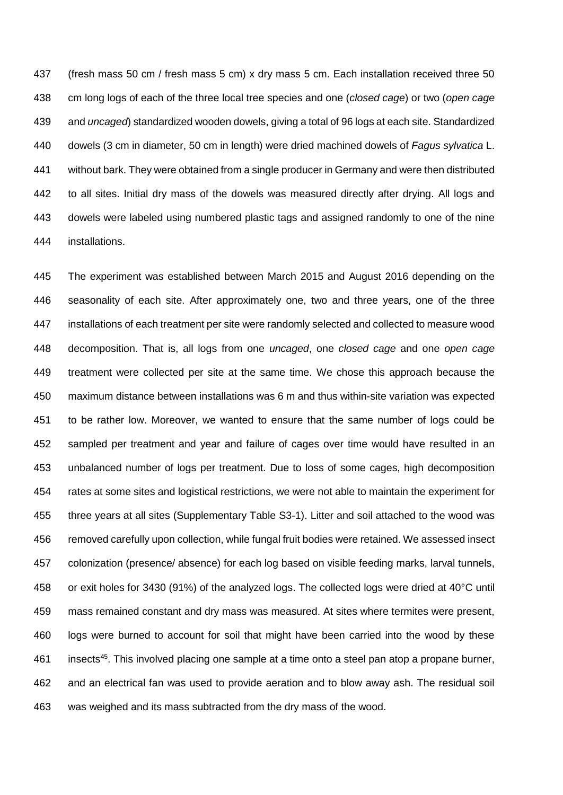(fresh mass 50 cm / fresh mass 5 cm) x dry mass 5 cm. Each installation received three 50 cm long logs of each of the three local tree species and one (*closed cage*) or two (*open cage* and *uncaged*) standardized wooden dowels, giving a total of 96 logs at each site. Standardized dowels (3 cm in diameter, 50 cm in length) were dried machined dowels of *Fagus sylvatica* L. without bark. They were obtained from a single producer in Germany and were then distributed to all sites. Initial dry mass of the dowels was measured directly after drying. All logs and dowels were labeled using numbered plastic tags and assigned randomly to one of the nine installations.

 The experiment was established between March 2015 and August 2016 depending on the seasonality of each site. After approximately one, two and three years, one of the three installations of each treatment per site were randomly selected and collected to measure wood decomposition. That is, all logs from one *uncaged*, one *closed cage* and one *open cage* treatment were collected per site at the same time. We chose this approach because the maximum distance between installations was 6 m and thus within-site variation was expected to be rather low. Moreover, we wanted to ensure that the same number of logs could be sampled per treatment and year and failure of cages over time would have resulted in an unbalanced number of logs per treatment. Due to loss of some cages, high decomposition rates at some sites and logistical restrictions, we were not able to maintain the experiment for three years at all sites (Supplementary Table S3-1). Litter and soil attached to the wood was removed carefully upon collection, while fungal fruit bodies were retained. We assessed insect colonization (presence/ absence) for each log based on visible feeding marks, larval tunnels, or exit holes for 3430 (91%) of the analyzed logs. The collected logs were dried at 40°C until mass remained constant and dry mass was measured. At sites where termites were present, logs were burned to account for soil that might have been carried into the wood by these 461 insects<sup>45</sup>. This involved placing one sample at a time onto a steel pan atop a propane burner, and an electrical fan was used to provide aeration and to blow away ash. The residual soil was weighed and its mass subtracted from the dry mass of the wood.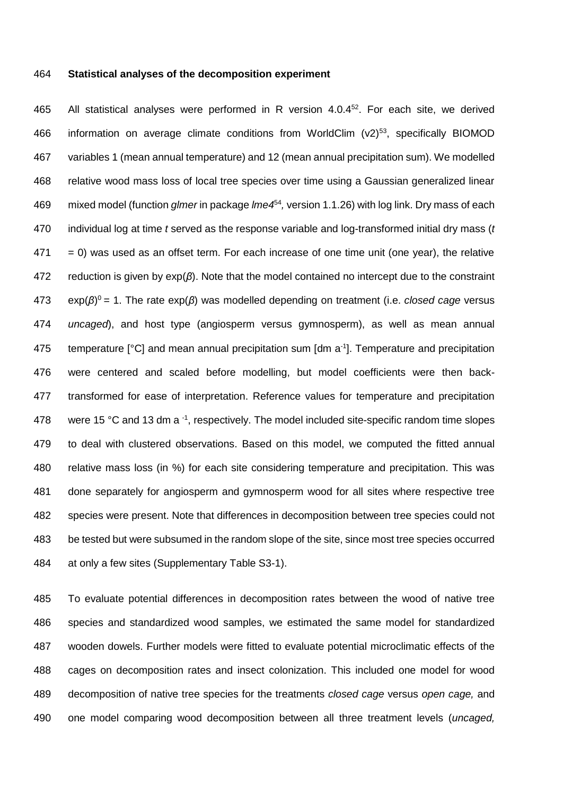#### **Statistical analyses of the decomposition experiment**

465 All statistical analyses were performed in R version 4.0.4<sup>52</sup>. For each site, we derived 466 information on average climate conditions from WorldClim  $(v2)^{53}$ , specifically BIOMOD variables 1 (mean annual temperature) and 12 (mean annual precipitation sum). We modelled relative wood mass loss of local tree species over time using a Gaussian generalized linear 469 mixed model (function *glmer* in package *lme4*<sup>54</sup>, version 1.1.26) with log link. Dry mass of each individual log at time *t* served as the response variable and log-transformed initial dry mass (*t*   $471 = 0$ ) was used as an offset term. For each increase of one time unit (one year), the relative reduction is given by exp(*β*). Note that the model contained no intercept due to the constraint exp(*β*) <sup>0</sup> = 1. The rate exp(*β*) was modelled depending on treatment (i.e. *closed cage* versus *uncaged*), and host type (angiosperm versus gymnosperm), as well as mean annual 475 temperature  $[°C]$  and mean annual precipitation sum  $[dm a<sup>-1</sup>]$ . Temperature and precipitation were centered and scaled before modelling, but model coefficients were then back- transformed for ease of interpretation. Reference values for temperature and precipitation 478 were 15 °C and 13 dm a  $-1$ , respectively. The model included site-specific random time slopes to deal with clustered observations. Based on this model, we computed the fitted annual relative mass loss (in %) for each site considering temperature and precipitation. This was done separately for angiosperm and gymnosperm wood for all sites where respective tree species were present. Note that differences in decomposition between tree species could not be tested but were subsumed in the random slope of the site, since most tree species occurred at only a few sites (Supplementary Table S3-1).

 To evaluate potential differences in decomposition rates between the wood of native tree species and standardized wood samples, we estimated the same model for standardized wooden dowels. Further models were fitted to evaluate potential microclimatic effects of the cages on decomposition rates and insect colonization. This included one model for wood decomposition of native tree species for the treatments *closed cage* versus *open cage,* and one model comparing wood decomposition between all three treatment levels (*uncaged,*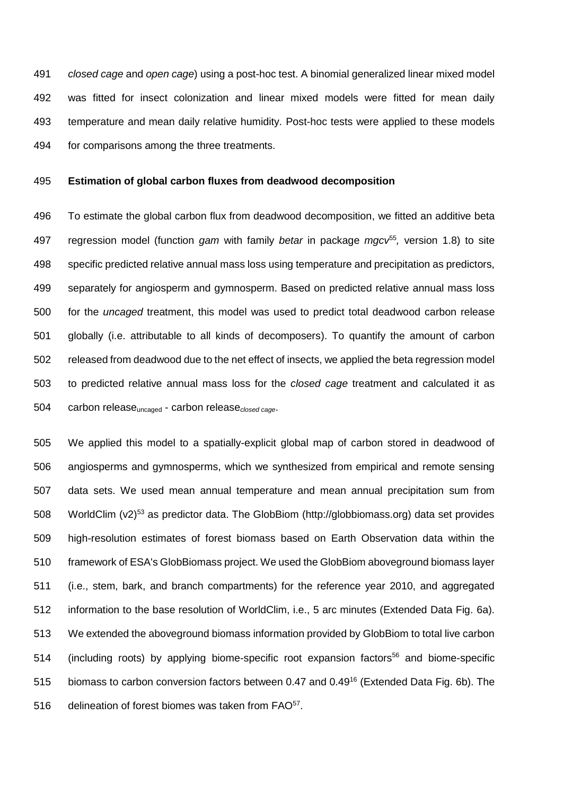*closed cage* and *open cage*) using a post-hoc test. A binomial generalized linear mixed model was fitted for insect colonization and linear mixed models were fitted for mean daily temperature and mean daily relative humidity. Post-hoc tests were applied to these models for comparisons among the three treatments.

## **Estimation of global carbon fluxes from deadwood decomposition**

 To estimate the global carbon flux from deadwood decomposition, we fitted an additive beta regression model (function *gam* with family *betar* in package *mgcv*<sup>55</sup> *,* version 1.8) to site specific predicted relative annual mass loss using temperature and precipitation as predictors, separately for angiosperm and gymnosperm. Based on predicted relative annual mass loss for the *uncaged* treatment, this model was used to predict total deadwood carbon release globally (i.e. attributable to all kinds of decomposers). To quantify the amount of carbon released from deadwood due to the net effect of insects, we applied the beta regression model to predicted relative annual mass loss for the *closed cage* treatment and calculated it as carbon releaseuncaged - carbon release*closed cage*.

 We applied this model to a spatially-explicit global map of carbon stored in deadwood of angiosperms and gymnosperms, which we synthesized from empirical and remote sensing data sets. We used mean annual temperature and mean annual precipitation sum from 508 WorldClim  $(v2)^{53}$  as predictor data. The GlobBiom (http://globbiomass.org) data set provides high-resolution estimates of forest biomass based on Earth Observation data within the framework of ESA's GlobBiomass project. We used the GlobBiom aboveground biomass layer (i.e., stem, bark, and branch compartments) for the reference year 2010, and aggregated information to the base resolution of WorldClim, i.e., 5 arc minutes (Extended Data Fig. 6a). We extended the aboveground biomass information provided by GlobBiom to total live carbon 514 (including roots) by applying biome-specific root expansion factors<sup>56</sup> and biome-specific 515 biomass to carbon conversion factors between 0.47 and 0.49<sup>16</sup> (Extended Data Fig. 6b). The 516 delineation of forest biomes was taken from FAO<sup>57</sup>.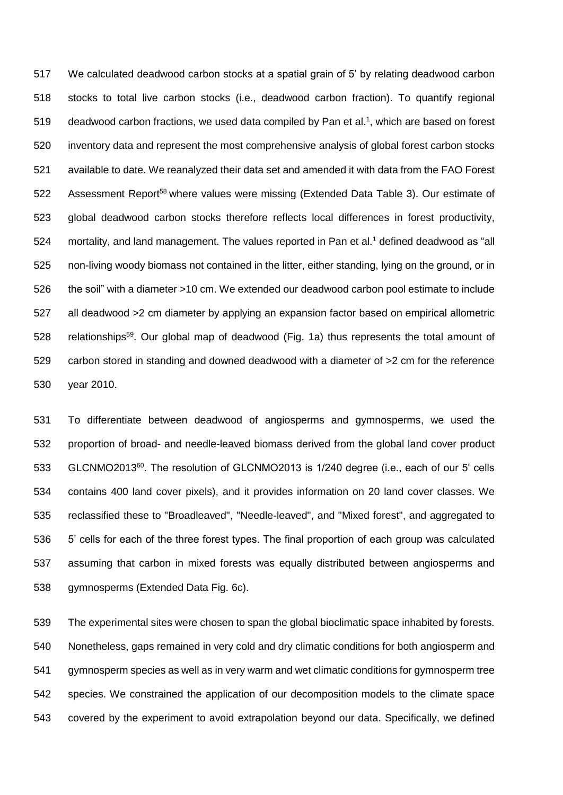We calculated deadwood carbon stocks at a spatial grain of 5' by relating deadwood carbon stocks to total live carbon stocks (i.e., deadwood carbon fraction). To quantify regional 519 deadwood carbon fractions, we used data compiled by Pan et al.<sup>1</sup>, which are based on forest inventory data and represent the most comprehensive analysis of global forest carbon stocks available to date. We reanalyzed their data set and amended it with data from the FAO Forest 522 Assessment Report<sup>58</sup> where values were missing (Extended Data Table 3). Our estimate of global deadwood carbon stocks therefore reflects local differences in forest productivity, 524 mortality, and land management. The values reported in Pan et al.<sup>1</sup> defined deadwood as "all non-living woody biomass not contained in the litter, either standing, lying on the ground, or in the soil" with a diameter >10 cm. We extended our deadwood carbon pool estimate to include all deadwood >2 cm diameter by applying an expansion factor based on empirical allometric 528 relationships<sup>59</sup>. Our global map of deadwood (Fig. 1a) thus represents the total amount of carbon stored in standing and downed deadwood with a diameter of >2 cm for the reference year 2010.

 To differentiate between deadwood of angiosperms and gymnosperms, we used the proportion of broad- and needle-leaved biomass derived from the global land cover product 533 GLCNMO2013<sup>60</sup>. The resolution of GLCNMO2013 is 1/240 degree (i.e., each of our 5' cells contains 400 land cover pixels), and it provides information on 20 land cover classes. We reclassified these to "Broadleaved", "Needle-leaved", and "Mixed forest", and aggregated to 5' cells for each of the three forest types. The final proportion of each group was calculated assuming that carbon in mixed forests was equally distributed between angiosperms and gymnosperms (Extended Data Fig. 6c).

 The experimental sites were chosen to span the global bioclimatic space inhabited by forests. Nonetheless, gaps remained in very cold and dry climatic conditions for both angiosperm and gymnosperm species as well as in very warm and wet climatic conditions for gymnosperm tree species. We constrained the application of our decomposition models to the climate space covered by the experiment to avoid extrapolation beyond our data. Specifically, we defined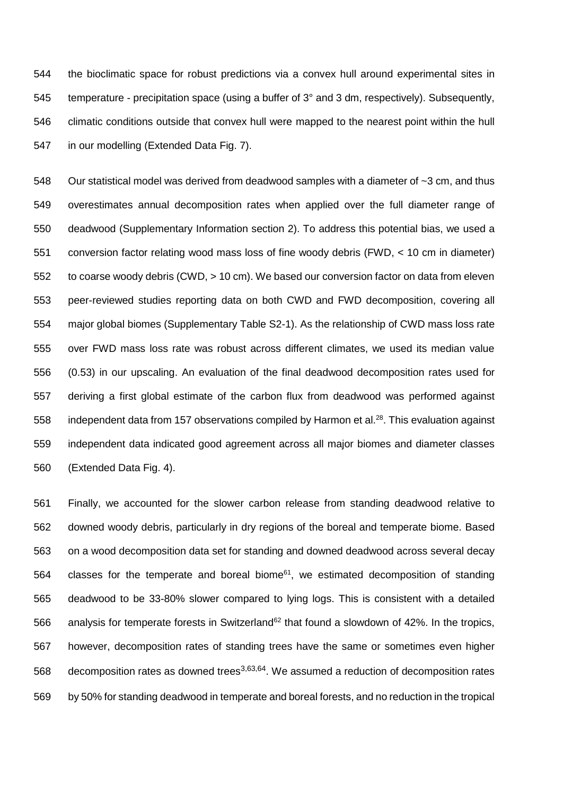the bioclimatic space for robust predictions via a convex hull around experimental sites in temperature - precipitation space (using a buffer of 3° and 3 dm, respectively). Subsequently, climatic conditions outside that convex hull were mapped to the nearest point within the hull in our modelling (Extended Data Fig. 7).

548 Our statistical model was derived from deadwood samples with a diameter of ~3 cm, and thus overestimates annual decomposition rates when applied over the full diameter range of deadwood (Supplementary Information section 2). To address this potential bias, we used a conversion factor relating wood mass loss of fine woody debris (FWD, < 10 cm in diameter) to coarse woody debris (CWD, > 10 cm). We based our conversion factor on data from eleven peer-reviewed studies reporting data on both CWD and FWD decomposition, covering all major global biomes (Supplementary Table S2-1). As the relationship of CWD mass loss rate over FWD mass loss rate was robust across different climates, we used its median value (0.53) in our upscaling. An evaluation of the final deadwood decomposition rates used for deriving a first global estimate of the carbon flux from deadwood was performed against 558 independent data from 157 observations compiled by Harmon et al.<sup>28</sup>. This evaluation against independent data indicated good agreement across all major biomes and diameter classes (Extended Data Fig. 4).

 Finally, we accounted for the slower carbon release from standing deadwood relative to downed woody debris, particularly in dry regions of the boreal and temperate biome. Based on a wood decomposition data set for standing and downed deadwood across several decay classes for the temperate and boreal biome<sup>61</sup>, we estimated decomposition of standing deadwood to be 33-80% slower compared to lying logs. This is consistent with a detailed 566 analysis for temperate forests in Switzerland<sup>62</sup> that found a slowdown of 42%. In the tropics, however, decomposition rates of standing trees have the same or sometimes even higher 568 decomposition rates as downed trees<sup>3,63,64</sup>. We assumed a reduction of decomposition rates by 50% for standing deadwood in temperate and boreal forests, and no reduction in the tropical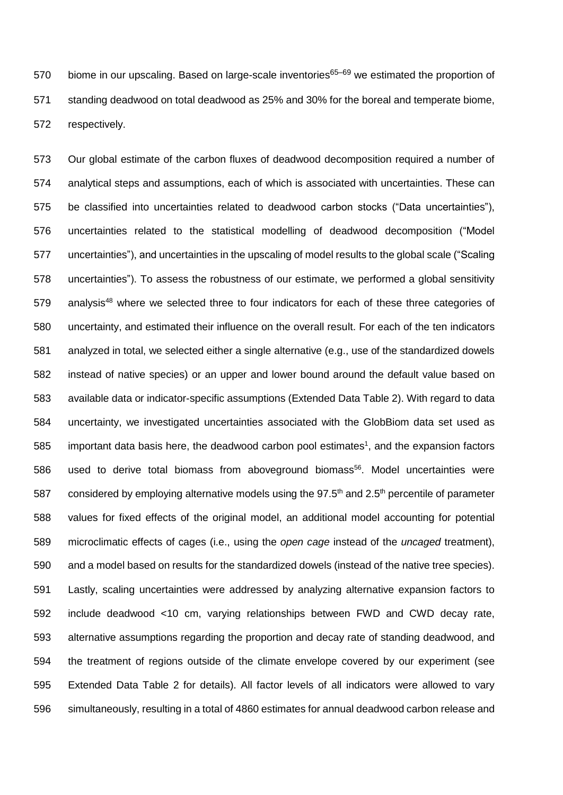570 biome in our upscaling. Based on large-scale inventories $65-69$  we estimated the proportion of standing deadwood on total deadwood as 25% and 30% for the boreal and temperate biome, respectively.

 Our global estimate of the carbon fluxes of deadwood decomposition required a number of analytical steps and assumptions, each of which is associated with uncertainties. These can be classified into uncertainties related to deadwood carbon stocks ("Data uncertainties"), uncertainties related to the statistical modelling of deadwood decomposition ("Model uncertainties"), and uncertainties in the upscaling of model results to the global scale ("Scaling uncertainties"). To assess the robustness of our estimate, we performed a global sensitivity analysis<sup>48</sup> where we selected three to four indicators for each of these three categories of uncertainty, and estimated their influence on the overall result. For each of the ten indicators analyzed in total, we selected either a single alternative (e.g., use of the standardized dowels instead of native species) or an upper and lower bound around the default value based on available data or indicator-specific assumptions (Extended Data Table 2). With regard to data uncertainty, we investigated uncertainties associated with the GlobBiom data set used as important data basis here, the deadwood carbon pool estimates<sup>1</sup>, and the expansion factors 586 used to derive total biomass from aboveground biomass<sup>56</sup>. Model uncertainties were 587 considered by employing alternative models using the  $97.5<sup>th</sup>$  and 2.5<sup>th</sup> percentile of parameter values for fixed effects of the original model, an additional model accounting for potential microclimatic effects of cages (i.e., using the *open cage* instead of the *uncaged* treatment), and a model based on results for the standardized dowels (instead of the native tree species). Lastly, scaling uncertainties were addressed by analyzing alternative expansion factors to include deadwood <10 cm, varying relationships between FWD and CWD decay rate, alternative assumptions regarding the proportion and decay rate of standing deadwood, and the treatment of regions outside of the climate envelope covered by our experiment (see Extended Data Table 2 for details). All factor levels of all indicators were allowed to vary simultaneously, resulting in a total of 4860 estimates for annual deadwood carbon release and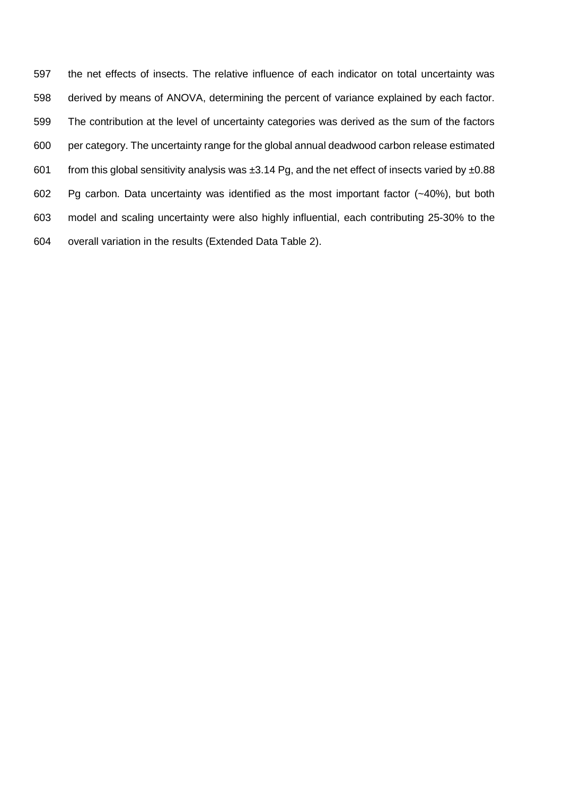the net effects of insects. The relative influence of each indicator on total uncertainty was derived by means of ANOVA, determining the percent of variance explained by each factor. The contribution at the level of uncertainty categories was derived as the sum of the factors per category. The uncertainty range for the global annual deadwood carbon release estimated 601 from this global sensitivity analysis was  $\pm 3.14$  Pg, and the net effect of insects varied by  $\pm 0.88$  Pg carbon. Data uncertainty was identified as the most important factor (~40%), but both model and scaling uncertainty were also highly influential, each contributing 25-30% to the overall variation in the results (Extended Data Table 2).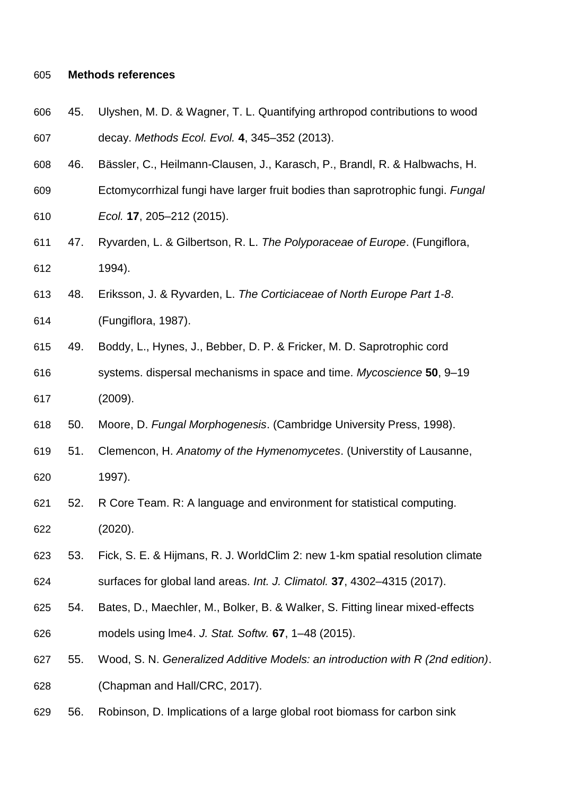## **Methods references**

- 45. Ulyshen, M. D. & Wagner, T. L. Quantifying arthropod contributions to wood decay. *Methods Ecol. Evol.* **4**, 345–352 (2013).
- 46. Bässler, C., Heilmann-Clausen, J., Karasch, P., Brandl, R. & Halbwachs, H.
- Ectomycorrhizal fungi have larger fruit bodies than saprotrophic fungi. *Fungal*
- *Ecol.* **17**, 205–212 (2015).
- 47. Ryvarden, L. & Gilbertson, R. L. *The Polyporaceae of Europe*. (Fungiflora, 1994).
- 48. Eriksson, J. & Ryvarden, L. *The Corticiaceae of North Europe Part 1-8*.
- (Fungiflora, 1987).
- 49. Boddy, L., Hynes, J., Bebber, D. P. & Fricker, M. D. Saprotrophic cord
- systems. dispersal mechanisms in space and time. *Mycoscience* **50**, 9–19 (2009).
- 50. Moore, D. *Fungal Morphogenesis*. (Cambridge University Press, 1998).
- 51. Clemencon, H. *Anatomy of the Hymenomycetes*. (Universtity of Lausanne, 1997).
- 52. R Core Team. R: A language and environment for statistical computing. (2020).
- 53. Fick, S. E. & Hijmans, R. J. WorldClim 2: new 1-km spatial resolution climate
- surfaces for global land areas. *Int. J. Climatol.* **37**, 4302–4315 (2017).
- 54. Bates, D., Maechler, M., Bolker, B. & Walker, S. Fitting linear mixed-effects models using lme4. *J. Stat. Softw.* **67**, 1–48 (2015).
- 55. Wood, S. N. *Generalized Additive Models: an introduction with R (2nd edition)*. (Chapman and Hall/CRC, 2017).
- 56. Robinson, D. Implications of a large global root biomass for carbon sink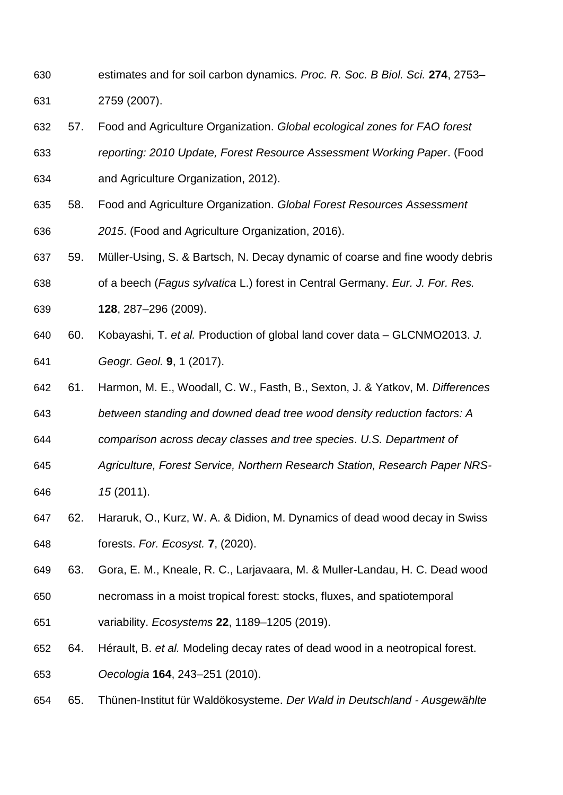- estimates and for soil carbon dynamics. *Proc. R. Soc. B Biol. Sci.* **274**, 2753– 2759 (2007).
- 57. Food and Agriculture Organization. *Global ecological zones for FAO forest reporting: 2010 Update, Forest Resource Assessment Working Paper*. (Food and Agriculture Organization, 2012).
- 58. Food and Agriculture Organization. *Global Forest Resources Assessment 2015*. (Food and Agriculture Organization, 2016).
- 59. Müller-Using, S. & Bartsch, N. Decay dynamic of coarse and fine woody debris
- of a beech (*Fagus sylvatica* L.) forest in Central Germany. *Eur. J. For. Res.*
- **128**, 287–296 (2009).
- 60. Kobayashi, T. *et al.* Production of global land cover data GLCNMO2013. *J. Geogr. Geol.* **9**, 1 (2017).
- 61. Harmon, M. E., Woodall, C. W., Fasth, B., Sexton, J. & Yatkov, M. *Differences*
- *between standing and downed dead tree wood density reduction factors: A*
- *comparison across decay classes and tree species*. *U.S. Department of*
- *Agriculture, Forest Service, Northern Research Station, Research Paper NRS-15* (2011).
- 62. Hararuk, O., Kurz, W. A. & Didion, M. Dynamics of dead wood decay in Swiss forests. *For. Ecosyst.* **7**, (2020).
- 63. Gora, E. M., Kneale, R. C., Larjavaara, M. & Muller-Landau, H. C. Dead wood
- necromass in a moist tropical forest: stocks, fluxes, and spatiotemporal
- variability. *Ecosystems* **22**, 1189–1205 (2019).
- 64. Hérault, B. *et al.* Modeling decay rates of dead wood in a neotropical forest. *Oecologia* **164**, 243–251 (2010).
- 65. Thünen-Institut für Waldökosysteme. *Der Wald in Deutschland - Ausgewählte*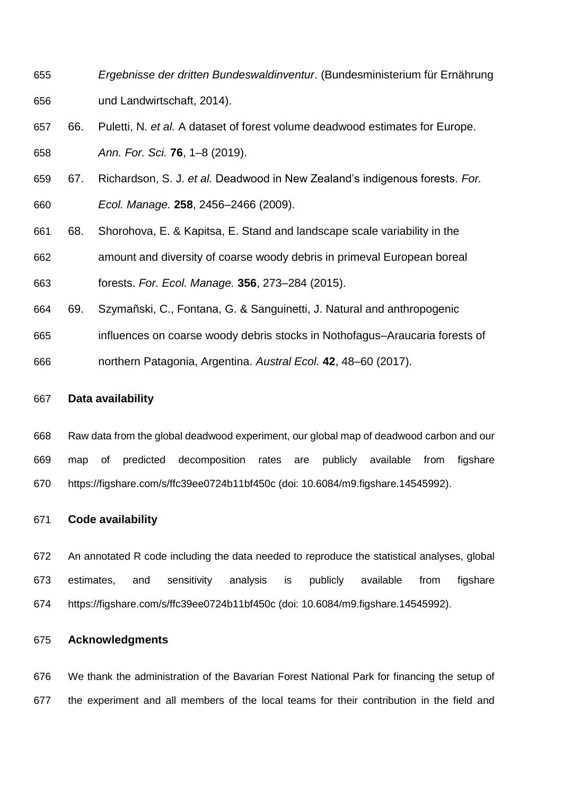- *Ergebnisse der dritten Bundeswaldinventur*. (Bundesministerium für Ernährung und Landwirtschaft, 2014).
- 66. Puletti, N. *et al.* A dataset of forest volume deadwood estimates for Europe. *Ann. For. Sci.* **76**, 1–8 (2019).
- 67. Richardson, S. J. *et al.* Deadwood in New Zealand's indigenous forests. *For. Ecol. Manage.* **258**, 2456–2466 (2009).
- 68. Shorohova, E. & Kapitsa, E. Stand and landscape scale variability in the
- amount and diversity of coarse woody debris in primeval European boreal

forests. *For. Ecol. Manage.* **356**, 273–284 (2015).

- 69. Szymañski, C., Fontana, G. & Sanguinetti, J. Natural and anthropogenic
- influences on coarse woody debris stocks in Nothofagus–Araucaria forests of
- northern Patagonia, Argentina. *Austral Ecol.* **42**, 48–60 (2017).

# **Data availability**

 Raw data from the global deadwood experiment, our global map of deadwood carbon and our map of predicted decomposition rates are publicly available from figshare https://figshare.com/s/ffc39ee0724b11bf450c (doi: 10.6084/m9.figshare.14545992).

# **Code availability**

 An annotated R code including the data needed to reproduce the statistical analyses, global estimates, and sensitivity analysis is publicly available from figshare https://figshare.com/s/ffc39ee0724b11bf450c (doi: 10.6084/m9.figshare.14545992).

# **Acknowledgments**

 We thank the administration of the Bavarian Forest National Park for financing the setup of the experiment and all members of the local teams for their contribution in the field and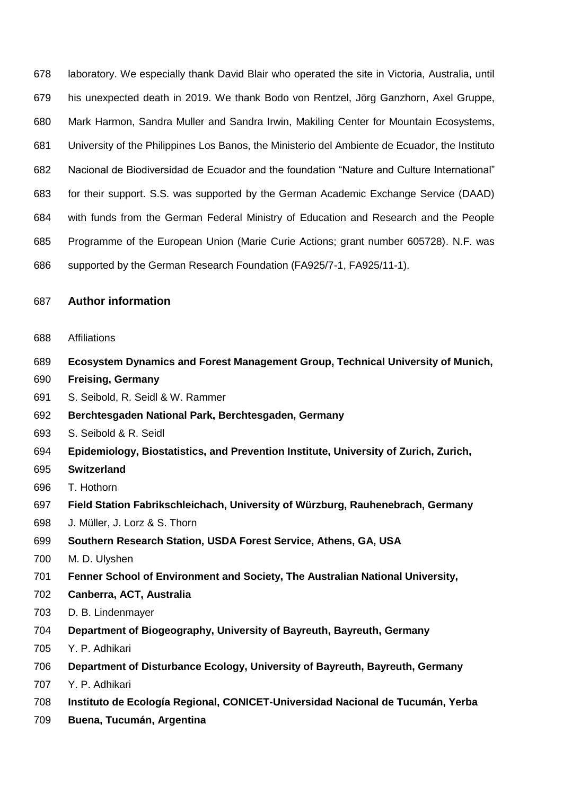laboratory. We especially thank David Blair who operated the site in Victoria, Australia, until his unexpected death in 2019. We thank Bodo von Rentzel, Jörg Ganzhorn, Axel Gruppe, Mark Harmon, Sandra Muller and Sandra Irwin, Makiling Center for Mountain Ecosystems, University of the Philippines Los Banos, the Ministerio del Ambiente de Ecuador, the Instituto Nacional de Biodiversidad de Ecuador and the foundation "Nature and Culture International" for their support. S.S. was supported by the German Academic Exchange Service (DAAD) with funds from the German Federal Ministry of Education and Research and the People Programme of the European Union (Marie Curie Actions; grant number 605728). N.F. was supported by the German Research Foundation (FA925/7-1, FA925/11-1).

# **Author information**

- Affiliations
- **Ecosystem Dynamics and Forest Management Group, Technical University of Munich,**
- **Freising, Germany**
- S. Seibold, R. Seidl & W. Rammer
- **Berchtesgaden National Park, Berchtesgaden, Germany**
- S. Seibold & R. Seidl
- **Epidemiology, Biostatistics, and Prevention Institute, University of Zurich, Zurich,**
- **Switzerland**
- T. Hothorn
- **Field Station Fabrikschleichach, University of Würzburg, Rauhenebrach, Germany**
- J. Müller, J. Lorz & S. Thorn
- **Southern Research Station, USDA Forest Service, Athens, GA, USA**
- M. D. Ulyshen
- **Fenner School of Environment and Society, The Australian National University,**
- **Canberra, ACT, Australia**
- D. B. Lindenmayer
- **Department of Biogeography, University of Bayreuth, Bayreuth, Germany**
- Y. P. Adhikari
- **Department of Disturbance Ecology, University of Bayreuth, Bayreuth, Germany**
- Y. P. Adhikari
- **Instituto de Ecología Regional, CONICET-Universidad Nacional de Tucumán, Yerba**
- **Buena, Tucumán, Argentina**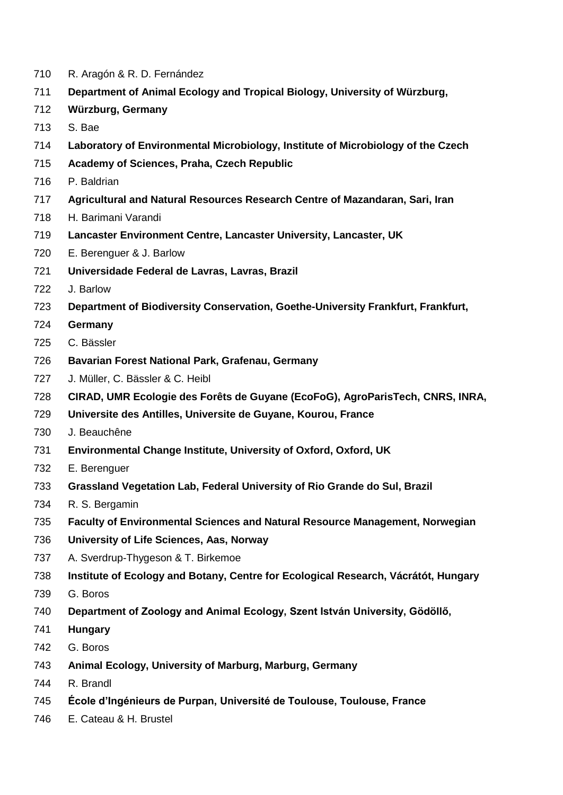- R. Aragón & R. D. Fernández
- **Department of Animal Ecology and Tropical Biology, University of Würzburg,**
- **Würzburg, Germany**
- S. Bae
- **Laboratory of Environmental Microbiology, Institute of Microbiology of the Czech**
- **Academy of Sciences, Praha, Czech Republic**
- P. Baldrian
- **Agricultural and Natural Resources Research Centre of Mazandaran, Sari, Iran**
- H. Barimani Varandi
- **Lancaster Environment Centre, Lancaster University, Lancaster, UK**
- E. Berenguer & J. Barlow
- **Universidade Federal de Lavras, Lavras, Brazil**
- J. Barlow
- **Department of Biodiversity Conservation, Goethe-University Frankfurt, Frankfurt,**
- **Germany**
- C. Bässler
- **Bavarian Forest National Park, Grafenau, Germany**
- J. Müller, C. Bässler & C. Heibl
- **CIRAD, UMR Ecologie des Forêts de Guyane (EcoFoG), AgroParisTech, CNRS, INRA,**
- **Universite des Antilles, Universite de Guyane, Kourou, France**
- J. Beauchêne
- **Environmental Change Institute, University of Oxford, Oxford, UK**
- E. Berenguer
- **Grassland Vegetation Lab, Federal University of Rio Grande do Sul, Brazil**
- R. S. Bergamin
- **Faculty of Environmental Sciences and Natural Resource Management, Norwegian**
- **University of Life Sciences, Aas, Norway**
- A. Sverdrup-Thygeson & T. Birkemoe
- **Institute of Ecology and Botany, Centre for Ecological Research, Vácrátót, Hungary**
- G. Boros
- **Department of Zoology and Animal Ecology, Szent István University, Gödöllő,**
- **Hungary**
- G. Boros
- **Animal Ecology, University of Marburg, Marburg, Germany**
- R. Brandl
- **École d'Ingénieurs de Purpan, Université de Toulouse, Toulouse, France**
- E. Cateau & H. Brustel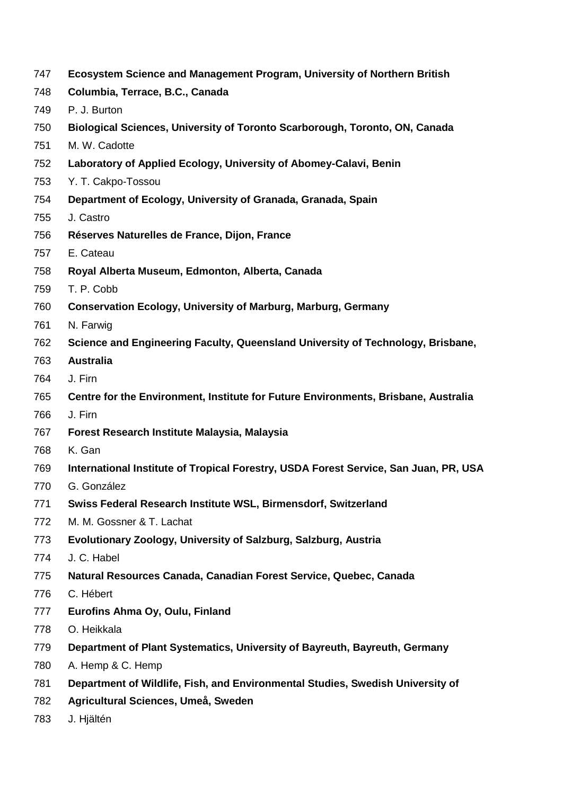- **Ecosystem Science and Management Program, University of Northern British**
- **Columbia, Terrace, B.C., Canada**
- P. J. Burton
- **Biological Sciences, University of Toronto Scarborough, Toronto, ON, Canada**
- M. W. Cadotte
- **Laboratory of Applied Ecology, University of Abomey-Calavi, Benin**
- Y. T. Cakpo-Tossou
- **Department of Ecology, University of Granada, Granada, Spain**
- J. Castro
- **Réserves Naturelles de France, Dijon, France**
- E. Cateau
- **Royal Alberta Museum, Edmonton, Alberta, Canada**
- T. P. Cobb
- **Conservation Ecology, University of Marburg, Marburg, Germany**
- N. Farwig
- **Science and Engineering Faculty, Queensland University of Technology, Brisbane,**
- **Australia**
- J. Firn
- **Centre for the Environment, Institute for Future Environments, Brisbane, Australia**
- J. Firn
- **Forest Research Institute Malaysia, Malaysia**
- K. Gan
- **International Institute of Tropical Forestry, USDA Forest Service, San Juan, PR, USA**
- G. González
- **Swiss Federal Research Institute WSL, Birmensdorf, Switzerland**
- M. M. Gossner & T. Lachat
- **Evolutionary Zoology, University of Salzburg, Salzburg, Austria**
- J. C. Habel
- **Natural Resources Canada, Canadian Forest Service, Quebec, Canada**
- C. Hébert
- **Eurofins Ahma Oy, Oulu, Finland**
- O. Heikkala
- **Department of Plant Systematics, University of Bayreuth, Bayreuth, Germany**
- A. Hemp & C. Hemp
- **Department of Wildlife, Fish, and Environmental Studies, Swedish University of**
- **Agricultural Sciences, Umeå, Sweden**
- J. Hjältén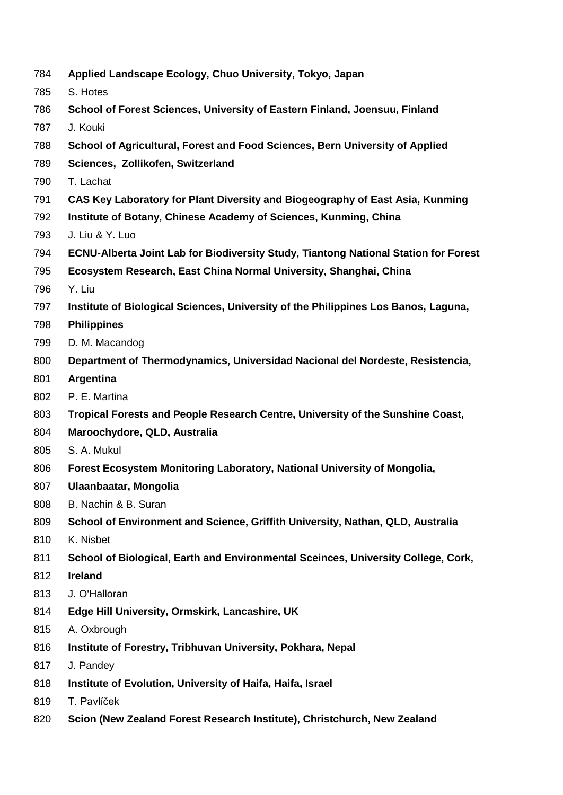- **Applied Landscape Ecology, Chuo University, Tokyo, Japan**
- S. Hotes
- **School of Forest Sciences, University of Eastern Finland, Joensuu, Finland**
- J. Kouki
- **School of Agricultural, Forest and Food Sciences, Bern University of Applied**
- **Sciences, Zollikofen, Switzerland**
- T. Lachat
- **CAS Key Laboratory for Plant Diversity and Biogeography of East Asia, Kunming**
- **Institute of Botany, Chinese Academy of Sciences, Kunming, China**
- J. Liu & Y. Luo
- **ECNU-Alberta Joint Lab for Biodiversity Study, Tiantong National Station for Forest**
- **Ecosystem Research, East China Normal University, Shanghai, China**
- Y. Liu
- **Institute of Biological Sciences, University of the Philippines Los Banos, Laguna,**
- **Philippines**
- D. M. Macandog
- **Department of Thermodynamics, Universidad Nacional del Nordeste, Resistencia,**
- **Argentina**
- P. E. Martina
- **Tropical Forests and People Research Centre, University of the Sunshine Coast,**
- **Maroochydore, QLD, Australia**
- S. A. Mukul
- **Forest Ecosystem Monitoring Laboratory, National University of Mongolia,**
- **Ulaanbaatar, Mongolia**
- B. Nachin & B. Suran
- **School of Environment and Science, Griffith University, Nathan, QLD, Australia**
- K. Nisbet
- **School of Biological, Earth and Environmental Sceinces, University College, Cork,**
- **Ireland**
- J. O'Halloran
- **Edge Hill University, Ormskirk, Lancashire, UK**
- A. Oxbrough
- **Institute of Forestry, Tribhuvan University, Pokhara, Nepal**
- J. Pandey
- **Institute of Evolution, University of Haifa, Haifa, Israel**
- T. Pavlíček
- **Scion (New Zealand Forest Research Institute), Christchurch, New Zealand**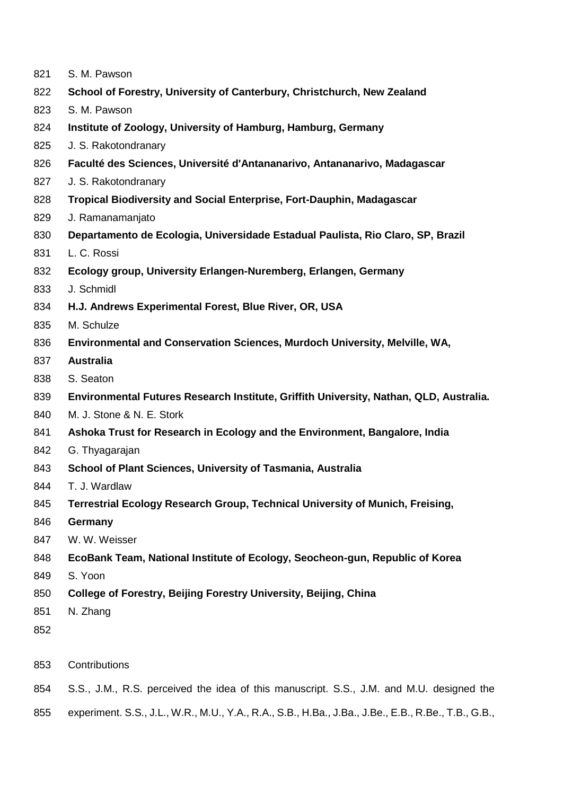| 821 |  | S. M. Pawson |
|-----|--|--------------|
|-----|--|--------------|

- **School of Forestry, University of Canterbury, Christchurch, New Zealand**
- S. M. Pawson
- **Institute of Zoology, University of Hamburg, Hamburg, Germany**
- J. S. Rakotondranary
- **Faculté des Sciences, Université d'Antananarivo, Antananarivo, Madagascar**
- J. S. Rakotondranary
- **Tropical Biodiversity and Social Enterprise, Fort-Dauphin, Madagascar**
- J. Ramanamanjato
- **Departamento de Ecologia, Universidade Estadual Paulista, Rio Claro, SP, Brazil**
- L. C. Rossi
- **Ecology group, University Erlangen-Nuremberg, Erlangen, Germany**
- J. Schmidl
- **H.J. Andrews Experimental Forest, Blue River, OR, USA**
- M. Schulze
- **Environmental and Conservation Sciences, Murdoch University, Melville, WA,**
- **Australia**
- S. Seaton
- **Environmental Futures Research Institute, Griffith University, Nathan, QLD, Australia.**
- M. J. Stone & N. E. Stork
- **Ashoka Trust for Research in Ecology and the Environment, Bangalore, India**
- G. Thyagarajan
- **School of Plant Sciences, University of Tasmania, Australia**
- T. J. Wardlaw
- **Terrestrial Ecology Research Group, Technical University of Munich, Freising,**
- **Germany**
- W. W. Weisser
- **EcoBank Team, National Institute of Ecology, Seocheon-gun, Republic of Korea**
- S. Yoon
- **College of Forestry, Beijing Forestry University, Beijing, China**
- N. Zhang
- 
- Contributions
- S.S., J.M., R.S. perceived the idea of this manuscript. S.S., J.M. and M.U. designed the
- experiment. S.S., J.L., W.R., M.U., Y.A., R.A., S.B., H.Ba., J.Ba., J.Be., E.B., R.Be., T.B., G.B.,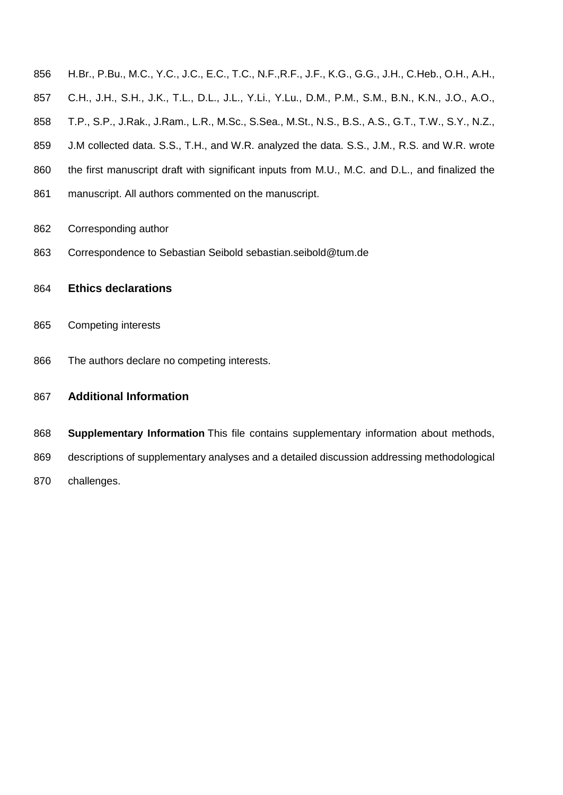- H.Br., P.Bu., M.C., Y.C., J.C., E.C., T.C., N.F.,R.F., J.F., K.G., G.G., J.H., C.Heb., O.H., A.H.,
- C.H., J.H., S.H., J.K., T.L., D.L., J.L., Y.Li., Y.Lu., D.M., P.M., S.M., B.N., K.N., J.O., A.O.,
- T.P., S.P., J.Rak., J.Ram., L.R., M.Sc., S.Sea., M.St., N.S., B.S., A.S., G.T., T.W., S.Y., N.Z.,
- J.M collected data. S.S., T.H., and W.R. analyzed the data. S.S., J.M., R.S. and W.R. wrote
- 860 the first manuscript draft with significant inputs from M.U., M.C. and D.L., and finalized the
- 861 manuscript. All authors commented on the manuscript.
- Corresponding author
- Correspondence to Sebastian Seibold sebastian.seibold@tum.de
- **Ethics declarations**
- Competing interests
- The authors declare no competing interests.
- **Additional Information**
- **Supplementary Information** This file contains supplementary information about methods,
- descriptions of supplementary analyses and a detailed discussion addressing methodological
- challenges.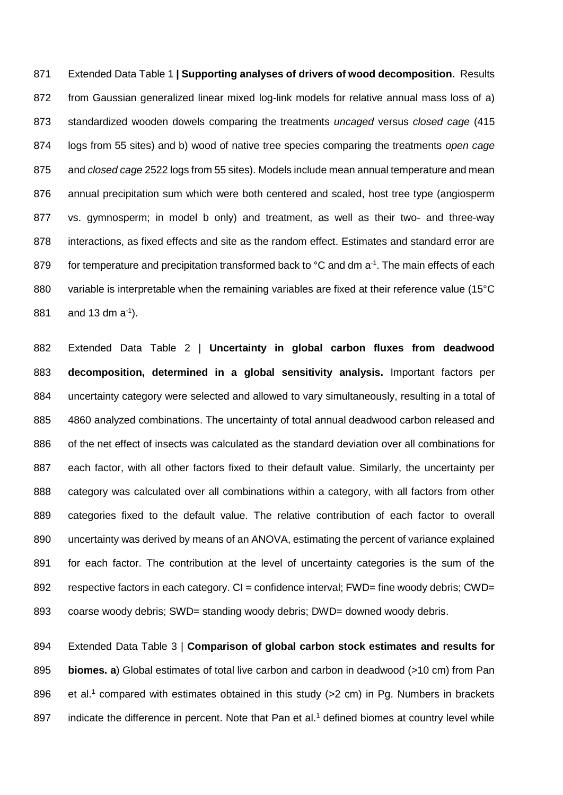Extended Data Table 1 **| Supporting analyses of drivers of wood decomposition.** Results from Gaussian generalized linear mixed log-link models for relative annual mass loss of a) standardized wooden dowels comparing the treatments *uncaged* versus *closed cage* (415 logs from 55 sites) and b) wood of native tree species comparing the treatments *open cage* and *closed cage* 2522 logs from 55 sites). Models include mean annual temperature and mean annual precipitation sum which were both centered and scaled, host tree type (angiosperm vs. gymnosperm; in model b only) and treatment, as well as their two- and three-way interactions, as fixed effects and site as the random effect. Estimates and standard error are 879 for temperature and precipitation transformed back to  $^{\circ}$ C and dm a<sup>-1</sup>. The main effects of each 880 variable is interpretable when the remaining variables are fixed at their reference value (15°C 881 and 13 dm  $a^{-1}$ ).

 Extended Data Table 2 | **Uncertainty in global carbon fluxes from deadwood decomposition, determined in a global sensitivity analysis.** Important factors per 884 uncertainty category were selected and allowed to vary simultaneously, resulting in a total of 4860 analyzed combinations. The uncertainty of total annual deadwood carbon released and of the net effect of insects was calculated as the standard deviation over all combinations for 887 each factor, with all other factors fixed to their default value. Similarly, the uncertainty per category was calculated over all combinations within a category, with all factors from other categories fixed to the default value. The relative contribution of each factor to overall uncertainty was derived by means of an ANOVA, estimating the percent of variance explained for each factor. The contribution at the level of uncertainty categories is the sum of the 892 respective factors in each category. CI = confidence interval; FWD= fine woody debris; CWD= coarse woody debris; SWD= standing woody debris; DWD= downed woody debris.

 Extended Data Table 3 | **Comparison of global carbon stock estimates and results for biomes. a**) Global estimates of total live carbon and carbon in deadwood (>10 cm) from Pan 896 et al.<sup>1</sup> compared with estimates obtained in this study  $(>2 \text{ cm})$  in Pg. Numbers in brackets 897 indicate the difference in percent. Note that Pan et al.<sup>1</sup> defined biomes at country level while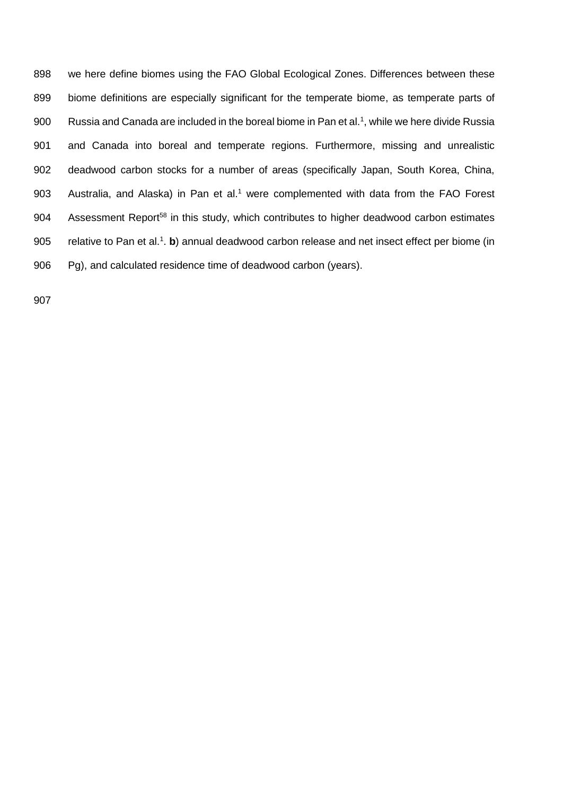898 we here define biomes using the FAO Global Ecological Zones. Differences between these 899 biome definitions are especially significant for the temperate biome, as temperate parts of 900 Russia and Canada are included in the boreal biome in Pan et al.<sup>1</sup>, while we here divide Russia 901 and Canada into boreal and temperate regions. Furthermore, missing and unrealistic 902 deadwood carbon stocks for a number of areas (specifically Japan, South Korea, China, 903 Australia, and Alaska) in Pan et al.<sup>1</sup> were complemented with data from the FAO Forest 904 Assessment Report<sup>58</sup> in this study, which contributes to higher deadwood carbon estimates 905 relative to Pan et al.<sup>1</sup>. b) annual deadwood carbon release and net insect effect per biome (in 906 Pg), and calculated residence time of deadwood carbon (years).

907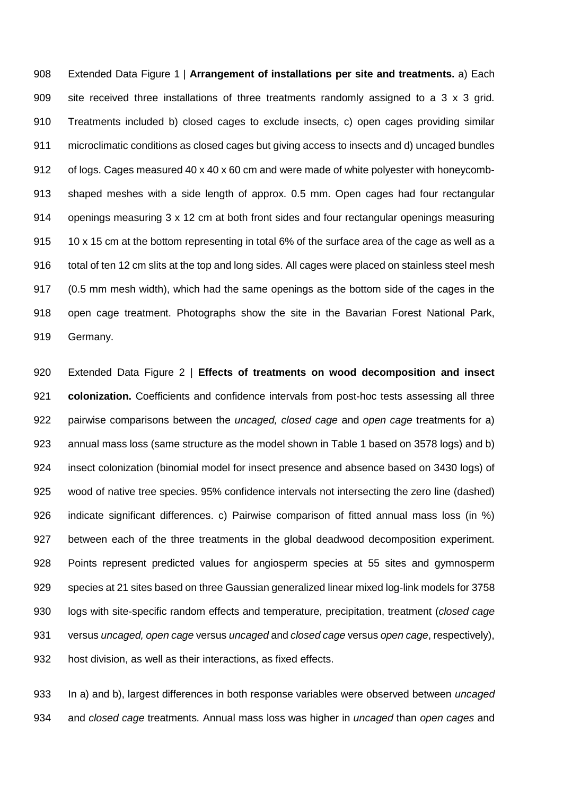Extended Data Figure 1 | **Arrangement of installations per site and treatments.** a) Each site received three installations of three treatments randomly assigned to a 3 x 3 grid. Treatments included b) closed cages to exclude insects, c) open cages providing similar microclimatic conditions as closed cages but giving access to insects and d) uncaged bundles of logs. Cages measured 40 x 40 x 60 cm and were made of white polyester with honeycomb- shaped meshes with a side length of approx. 0.5 mm. Open cages had four rectangular openings measuring 3 x 12 cm at both front sides and four rectangular openings measuring 10 x 15 cm at the bottom representing in total 6% of the surface area of the cage as well as a 916 total of ten 12 cm slits at the top and long sides. All cages were placed on stainless steel mesh (0.5 mm mesh width), which had the same openings as the bottom side of the cages in the open cage treatment. Photographs show the site in the Bavarian Forest National Park, Germany.

 Extended Data Figure 2 | **Effects of treatments on wood decomposition and insect colonization.** Coefficients and confidence intervals from post-hoc tests assessing all three pairwise comparisons between the *uncaged, closed cage* and *open cage* treatments for a) annual mass loss (same structure as the model shown in Table 1 based on 3578 logs) and b) insect colonization (binomial model for insect presence and absence based on 3430 logs) of wood of native tree species. 95% confidence intervals not intersecting the zero line (dashed) indicate significant differences. c) Pairwise comparison of fitted annual mass loss (in %) between each of the three treatments in the global deadwood decomposition experiment. Points represent predicted values for angiosperm species at 55 sites and gymnosperm species at 21 sites based on three Gaussian generalized linear mixed log-link models for 3758 logs with site-specific random effects and temperature, precipitation, treatment (*closed cage*  versus *uncaged, open cage* versus *uncaged* and *closed cage* versus *open cage*, respectively), host division, as well as their interactions, as fixed effects.

 In a) and b), largest differences in both response variables were observed between *uncaged*  and *closed cage* treatments*.* Annual mass loss was higher in *uncaged* than *open cages* and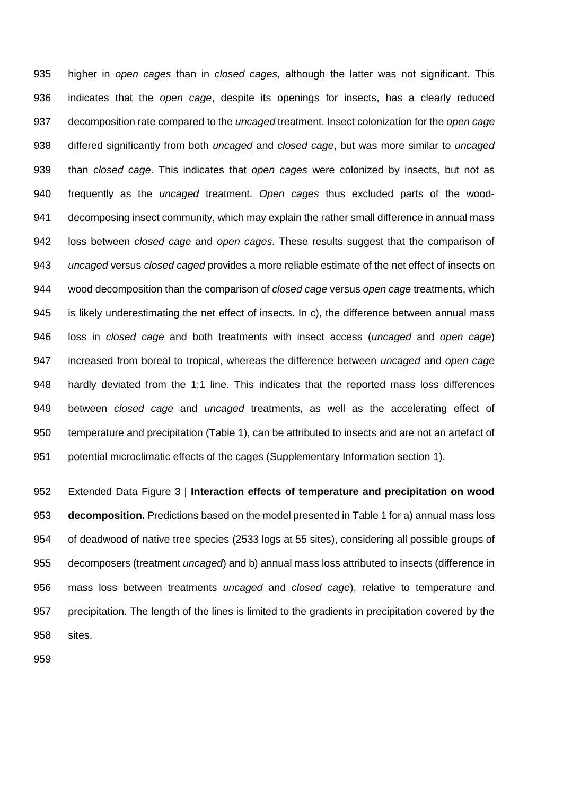higher in *open cages* than in *closed cages*, although the latter was not significant. This indicates that the *open cage*, despite its openings for insects, has a clearly reduced decomposition rate compared to the *uncaged* treatment. Insect colonization for the *open cage* differed significantly from both *uncaged* and *closed cage*, but was more similar to *uncaged* than *closed cage*. This indicates that *open cages* were colonized by insects, but not as frequently as the *uncaged* treatment. *Open cages* thus excluded parts of the wood- decomposing insect community, which may explain the rather small difference in annual mass loss between *closed cage* and *open cages*. These results suggest that the comparison of *uncaged* versus *closed caged* provides a more reliable estimate of the net effect of insects on wood decomposition than the comparison of *closed cage* versus *open cage* treatments, which is likely underestimating the net effect of insects. In c), the difference between annual mass loss in *closed cage* and both treatments with insect access (*uncaged* and *open cage*) increased from boreal to tropical, whereas the difference between *uncaged* and *open cage* hardly deviated from the 1:1 line. This indicates that the reported mass loss differences between *closed cage* and *uncaged* treatments, as well as the accelerating effect of temperature and precipitation (Table 1), can be attributed to insects and are not an artefact of potential microclimatic effects of the cages (Supplementary Information section 1).

 Extended Data Figure 3 | **Interaction effects of temperature and precipitation on wood decomposition.** Predictions based on the model presented in Table 1 for a) annual mass loss of deadwood of native tree species (2533 logs at 55 sites), considering all possible groups of decomposers (treatment *uncaged*) and b) annual mass loss attributed to insects (difference in mass loss between treatments *uncaged* and *closed cage*), relative to temperature and precipitation. The length of the lines is limited to the gradients in precipitation covered by the sites.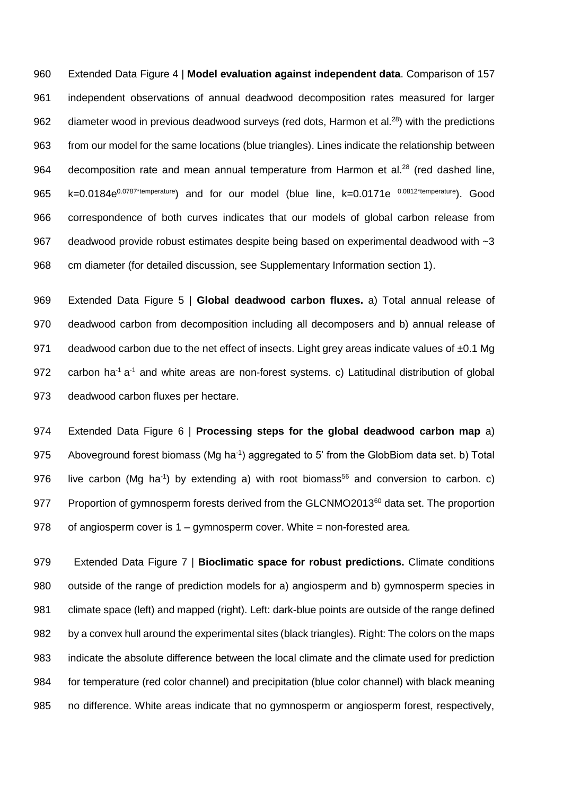Extended Data Figure 4 | **Model evaluation against independent data**. Comparison of 157 independent observations of annual deadwood decomposition rates measured for larger 962 diameter wood in previous deadwood surveys (red dots, Harmon et al. $^{28}$ ) with the predictions from our model for the same locations (blue triangles). Lines indicate the relationship between 964 decomposition rate and mean annual temperature from Harmon et al.<sup>28</sup> (red dashed line, 965 k=0.0184e<sup>0.0787\*temperature</sup>) and for our model (blue line, k=0.0171e <sup>0.0812\*temperature</sup>). Good correspondence of both curves indicates that our models of global carbon release from deadwood provide robust estimates despite being based on experimental deadwood with ~3 cm diameter (for detailed discussion, see Supplementary Information section 1).

 Extended Data Figure 5 | **Global deadwood carbon fluxes.** a) Total annual release of deadwood carbon from decomposition including all decomposers and b) annual release of 971 deadwood carbon due to the net effect of insects. Light grey areas indicate values of ±0.1 Mg 972 carbon ha<sup>-1</sup> a<sup>-1</sup> and white areas are non-forest systems. c) Latitudinal distribution of global deadwood carbon fluxes per hectare.

 Extended Data Figure 6 | **Processing steps for the global deadwood carbon map** a) 975 Aboveground forest biomass (Mg ha<sup>-1</sup>) aggregated to 5' from the GlobBiom data set. b) Total 976 live carbon (Mg ha<sup>-1</sup>) by extending a) with root biomass<sup>56</sup> and conversion to carbon. c) 977 Proportion of gymnosperm forests derived from the GLCNMO2013<sup>60</sup> data set. The proportion 978 of angiosperm cover is 1 – gymnosperm cover. White = non-forested area.

979 Extended Data Figure 7 | **Bioclimatic space for robust predictions.** Climate conditions outside of the range of prediction models for a) angiosperm and b) gymnosperm species in climate space (left) and mapped (right). Left: dark-blue points are outside of the range defined by a convex hull around the experimental sites (black triangles). Right: The colors on the maps indicate the absolute difference between the local climate and the climate used for prediction for temperature (red color channel) and precipitation (blue color channel) with black meaning no difference. White areas indicate that no gymnosperm or angiosperm forest, respectively,